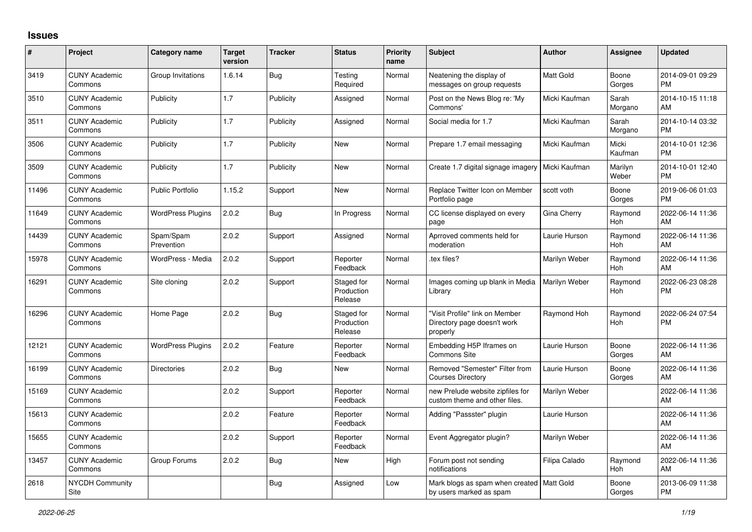## **Issues**

| #     | Project                         | <b>Category name</b>     | <b>Target</b><br>version | <b>Tracker</b> | <b>Status</b>                       | <b>Priority</b><br>name | <b>Subject</b>                                                            | <b>Author</b>    | <b>Assignee</b>  | <b>Updated</b>                |
|-------|---------------------------------|--------------------------|--------------------------|----------------|-------------------------------------|-------------------------|---------------------------------------------------------------------------|------------------|------------------|-------------------------------|
| 3419  | <b>CUNY Academic</b><br>Commons | Group Invitations        | 1.6.14                   | Bug            | Testing<br>Required                 | Normal                  | Neatening the display of<br>messages on group requests                    | <b>Matt Gold</b> | Boone<br>Gorges  | 2014-09-01 09:29<br><b>PM</b> |
| 3510  | <b>CUNY Academic</b><br>Commons | Publicity                | 1.7                      | Publicity      | Assigned                            | Normal                  | Post on the News Blog re: 'My<br>Commons'                                 | Micki Kaufman    | Sarah<br>Morgano | 2014-10-15 11:18<br>AM        |
| 3511  | <b>CUNY Academic</b><br>Commons | Publicity                | 1.7                      | Publicity      | Assigned                            | Normal                  | Social media for 1.7                                                      | Micki Kaufman    | Sarah<br>Morgano | 2014-10-14 03:32<br><b>PM</b> |
| 3506  | <b>CUNY Academic</b><br>Commons | Publicity                | 1.7                      | Publicity      | <b>New</b>                          | Normal                  | Prepare 1.7 email messaging                                               | Micki Kaufman    | Micki<br>Kaufman | 2014-10-01 12:36<br><b>PM</b> |
| 3509  | <b>CUNY Academic</b><br>Commons | Publicity                | 1.7                      | Publicity      | New                                 | Normal                  | Create 1.7 digital signage imagery                                        | Micki Kaufman    | Marilyn<br>Weber | 2014-10-01 12:40<br><b>PM</b> |
| 11496 | <b>CUNY Academic</b><br>Commons | <b>Public Portfolio</b>  | 1.15.2                   | Support        | New                                 | Normal                  | Replace Twitter Icon on Member<br>Portfolio page                          | scott voth       | Boone<br>Gorges  | 2019-06-06 01:03<br><b>PM</b> |
| 11649 | <b>CUNY Academic</b><br>Commons | <b>WordPress Plugins</b> | 2.0.2                    | <b>Bug</b>     | In Progress                         | Normal                  | CC license displayed on every<br>page                                     | Gina Cherry      | Raymond<br>Hoh   | 2022-06-14 11:36<br>AM        |
| 14439 | <b>CUNY Academic</b><br>Commons | Spam/Spam<br>Prevention  | 2.0.2                    | Support        | Assigned                            | Normal                  | Aprroved comments held for<br>moderation                                  | Laurie Hurson    | Raymond<br>Hoh   | 2022-06-14 11:36<br>AM        |
| 15978 | <b>CUNY Academic</b><br>Commons | WordPress - Media        | 2.0.2                    | Support        | Reporter<br>Feedback                | Normal                  | tex files?                                                                | Marilyn Weber    | Raymond<br>Hoh   | 2022-06-14 11:36<br>AM        |
| 16291 | <b>CUNY Academic</b><br>Commons | Site cloning             | 2.0.2                    | Support        | Staged for<br>Production<br>Release | Normal                  | Images coming up blank in Media<br>Library                                | Marilyn Weber    | Raymond<br>Hoh   | 2022-06-23 08:28<br><b>PM</b> |
| 16296 | <b>CUNY Academic</b><br>Commons | Home Page                | 2.0.2                    | Bug            | Staged for<br>Production<br>Release | Normal                  | "Visit Profile" link on Member<br>Directory page doesn't work<br>properly | Raymond Hoh      | Raymond<br>Hoh   | 2022-06-24 07:54<br><b>PM</b> |
| 12121 | <b>CUNY Academic</b><br>Commons | <b>WordPress Plugins</b> | 2.0.2                    | Feature        | Reporter<br>Feedback                | Normal                  | Embedding H5P Iframes on<br>Commons Site                                  | Laurie Hurson    | Boone<br>Gorges  | 2022-06-14 11:36<br>AM        |
| 16199 | <b>CUNY Academic</b><br>Commons | Directories              | 2.0.2                    | Bug            | <b>New</b>                          | Normal                  | Removed "Semester" Filter from<br><b>Courses Directory</b>                | Laurie Hurson    | Boone<br>Gorges  | 2022-06-14 11:36<br>AM        |
| 15169 | <b>CUNY Academic</b><br>Commons |                          | 2.0.2                    | Support        | Reporter<br>Feedback                | Normal                  | new Prelude website zipfiles for<br>custom theme and other files.         | Marilyn Weber    |                  | 2022-06-14 11:36<br>AM        |
| 15613 | <b>CUNY Academic</b><br>Commons |                          | 2.0.2                    | Feature        | Reporter<br>Feedback                | Normal                  | Adding "Passster" plugin                                                  | Laurie Hurson    |                  | 2022-06-14 11:36<br>AM        |
| 15655 | <b>CUNY Academic</b><br>Commons |                          | 2.0.2                    | Support        | Reporter<br>Feedback                | Normal                  | Event Aggregator plugin?                                                  | Marilyn Weber    |                  | 2022-06-14 11:36<br>AM        |
| 13457 | <b>CUNY Academic</b><br>Commons | Group Forums             | 2.0.2                    | Bug            | <b>New</b>                          | High                    | Forum post not sending<br>notifications                                   | Filipa Calado    | Raymond<br>Hoh   | 2022-06-14 11:36<br>AM        |
| 2618  | <b>NYCDH Community</b><br>Site  |                          |                          | <b>Bug</b>     | Assigned                            | Low                     | Mark blogs as spam when created<br>by users marked as spam                | <b>Matt Gold</b> | Boone<br>Gorges  | 2013-06-09 11:38<br>PM        |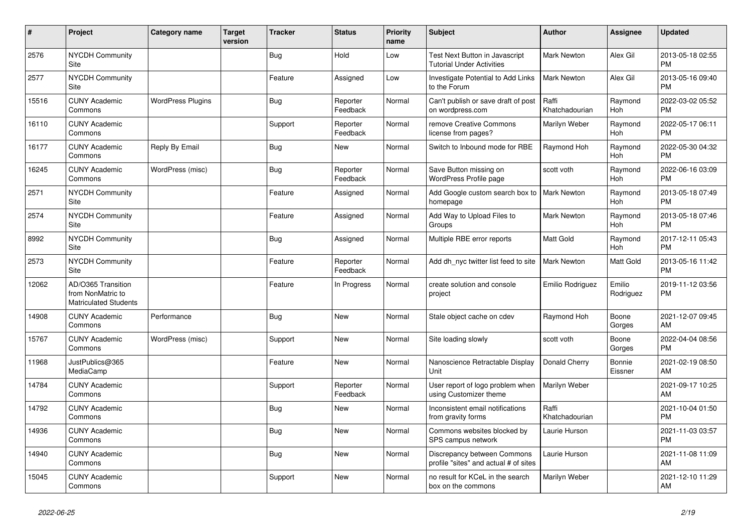| #     | Project                                                                 | <b>Category name</b>     | <b>Target</b><br>version | <b>Tracker</b> | <b>Status</b>        | <b>Priority</b><br>name | <b>Subject</b>                                                       | <b>Author</b>           | <b>Assignee</b>       | <b>Updated</b>                |
|-------|-------------------------------------------------------------------------|--------------------------|--------------------------|----------------|----------------------|-------------------------|----------------------------------------------------------------------|-------------------------|-----------------------|-------------------------------|
| 2576  | <b>NYCDH Community</b><br>Site                                          |                          |                          | <b>Bug</b>     | Hold                 | Low                     | Test Next Button in Javascript<br><b>Tutorial Under Activities</b>   | <b>Mark Newton</b>      | Alex Gil              | 2013-05-18 02:55<br><b>PM</b> |
| 2577  | NYCDH Community<br>Site                                                 |                          |                          | Feature        | Assigned             | Low                     | Investigate Potential to Add Links<br>to the Forum                   | Mark Newton             | Alex Gil              | 2013-05-16 09:40<br><b>PM</b> |
| 15516 | <b>CUNY Academic</b><br>Commons                                         | <b>WordPress Plugins</b> |                          | Bug            | Reporter<br>Feedback | Normal                  | Can't publish or save draft of post<br>on wordpress.com              | Raffi<br>Khatchadourian | Raymond<br><b>Hoh</b> | 2022-03-02 05:52<br><b>PM</b> |
| 16110 | <b>CUNY Academic</b><br>Commons                                         |                          |                          | Support        | Reporter<br>Feedback | Normal                  | remove Creative Commons<br>license from pages?                       | Marilyn Weber           | Raymond<br><b>Hoh</b> | 2022-05-17 06:11<br><b>PM</b> |
| 16177 | <b>CUNY Academic</b><br>Commons                                         | Reply By Email           |                          | Bug            | <b>New</b>           | Normal                  | Switch to Inbound mode for RBE                                       | Raymond Hoh             | Raymond<br>Hoh        | 2022-05-30 04:32<br><b>PM</b> |
| 16245 | <b>CUNY Academic</b><br>Commons                                         | WordPress (misc)         |                          | <b>Bug</b>     | Reporter<br>Feedback | Normal                  | Save Button missing on<br>WordPress Profile page                     | scott voth              | Raymond<br><b>Hoh</b> | 2022-06-16 03:09<br><b>PM</b> |
| 2571  | <b>NYCDH Community</b><br>Site                                          |                          |                          | Feature        | Assigned             | Normal                  | Add Google custom search box to<br>homepage                          | <b>Mark Newton</b>      | Raymond<br><b>Hoh</b> | 2013-05-18 07:49<br><b>PM</b> |
| 2574  | <b>NYCDH Community</b><br>Site                                          |                          |                          | Feature        | Assigned             | Normal                  | Add Way to Upload Files to<br>Groups                                 | <b>Mark Newton</b>      | Raymond<br>Hoh        | 2013-05-18 07:46<br><b>PM</b> |
| 8992  | <b>NYCDH Community</b><br><b>Site</b>                                   |                          |                          | <b>Bug</b>     | Assigned             | Normal                  | Multiple RBE error reports                                           | Matt Gold               | Raymond<br><b>Hoh</b> | 2017-12-11 05:43<br><b>PM</b> |
| 2573  | NYCDH Community<br>Site                                                 |                          |                          | Feature        | Reporter<br>Feedback | Normal                  | Add dh_nyc twitter list feed to site                                 | <b>Mark Newton</b>      | <b>Matt Gold</b>      | 2013-05-16 11:42<br><b>PM</b> |
| 12062 | AD/O365 Transition<br>from NonMatric to<br><b>Matriculated Students</b> |                          |                          | Feature        | In Progress          | Normal                  | create solution and console<br>project                               | Emilio Rodriguez        | Emilio<br>Rodriguez   | 2019-11-12 03:56<br><b>PM</b> |
| 14908 | <b>CUNY Academic</b><br>Commons                                         | Performance              |                          | Bug            | <b>New</b>           | Normal                  | Stale object cache on cdev                                           | Raymond Hoh             | Boone<br>Gorges       | 2021-12-07 09:45<br>AM        |
| 15767 | <b>CUNY Academic</b><br>Commons                                         | WordPress (misc)         |                          | Support        | <b>New</b>           | Normal                  | Site loading slowly                                                  | scott voth              | Boone<br>Gorges       | 2022-04-04 08:56<br><b>PM</b> |
| 11968 | JustPublics@365<br>MediaCamp                                            |                          |                          | Feature        | <b>New</b>           | Normal                  | Nanoscience Retractable Display<br>Unit                              | Donald Cherry           | Bonnie<br>Eissner     | 2021-02-19 08:50<br>AM        |
| 14784 | <b>CUNY Academic</b><br>Commons                                         |                          |                          | Support        | Reporter<br>Feedback | Normal                  | User report of logo problem when<br>using Customizer theme           | Marilyn Weber           |                       | 2021-09-17 10:25<br>AM        |
| 14792 | <b>CUNY Academic</b><br>Commons                                         |                          |                          | <b>Bug</b>     | <b>New</b>           | Normal                  | Inconsistent email notifications<br>from gravity forms               | Raffi<br>Khatchadourian |                       | 2021-10-04 01:50<br><b>PM</b> |
| 14936 | <b>CUNY Academic</b><br>Commons                                         |                          |                          | Bug            | <b>New</b>           | Normal                  | Commons websites blocked by<br>SPS campus network                    | Laurie Hurson           |                       | 2021-11-03 03:57<br><b>PM</b> |
| 14940 | <b>CUNY Academic</b><br>Commons                                         |                          |                          | Bug            | <b>New</b>           | Normal                  | Discrepancy between Commons<br>profile "sites" and actual # of sites | Laurie Hurson           |                       | 2021-11-08 11:09<br>AM        |
| 15045 | <b>CUNY Academic</b><br>Commons                                         |                          |                          | Support        | <b>New</b>           | Normal                  | no result for KCeL in the search<br>box on the commons               | Marilyn Weber           |                       | 2021-12-10 11:29<br>AM        |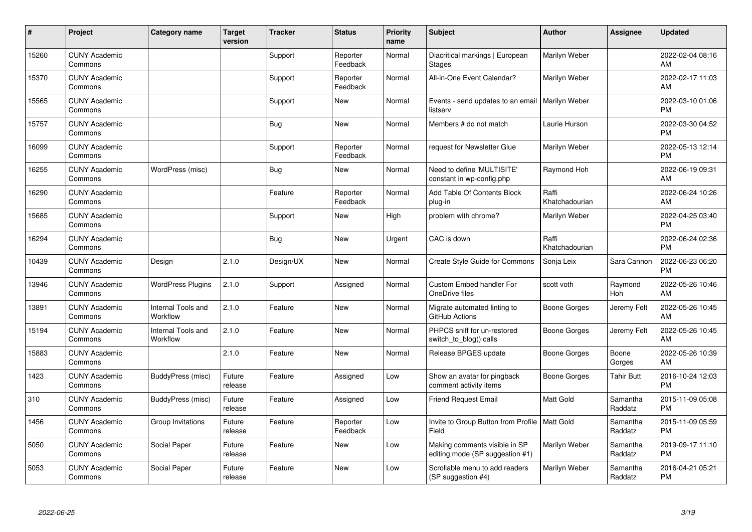| #     | Project                         | <b>Category name</b>           | <b>Target</b><br>version | <b>Tracker</b> | <b>Status</b>        | <b>Priority</b><br>name | <b>Subject</b>                                                   | <b>Author</b>           | <b>Assignee</b>     | <b>Updated</b>                |
|-------|---------------------------------|--------------------------------|--------------------------|----------------|----------------------|-------------------------|------------------------------------------------------------------|-------------------------|---------------------|-------------------------------|
| 15260 | <b>CUNY Academic</b><br>Commons |                                |                          | Support        | Reporter<br>Feedback | Normal                  | Diacritical markings   European<br><b>Stages</b>                 | Marilyn Weber           |                     | 2022-02-04 08:16<br>AM        |
| 15370 | <b>CUNY Academic</b><br>Commons |                                |                          | Support        | Reporter<br>Feedback | Normal                  | All-in-One Event Calendar?                                       | Marilyn Weber           |                     | 2022-02-17 11:03<br>AM        |
| 15565 | <b>CUNY Academic</b><br>Commons |                                |                          | Support        | New                  | Normal                  | Events - send updates to an email<br>listserv                    | Marilyn Weber           |                     | 2022-03-10 01:06<br><b>PM</b> |
| 15757 | <b>CUNY Academic</b><br>Commons |                                |                          | Bug            | <b>New</b>           | Normal                  | Members # do not match                                           | Laurie Hurson           |                     | 2022-03-30 04:52<br><b>PM</b> |
| 16099 | <b>CUNY Academic</b><br>Commons |                                |                          | Support        | Reporter<br>Feedback | Normal                  | request for Newsletter Glue                                      | Marilyn Weber           |                     | 2022-05-13 12:14<br><b>PM</b> |
| 16255 | <b>CUNY Academic</b><br>Commons | WordPress (misc)               |                          | Bug            | <b>New</b>           | Normal                  | Need to define 'MULTISITE'<br>constant in wp-config.php          | Raymond Hoh             |                     | 2022-06-19 09:31<br>AM        |
| 16290 | <b>CUNY Academic</b><br>Commons |                                |                          | Feature        | Reporter<br>Feedback | Normal                  | Add Table Of Contents Block<br>plug-in                           | Raffi<br>Khatchadourian |                     | 2022-06-24 10:26<br>AM        |
| 15685 | <b>CUNY Academic</b><br>Commons |                                |                          | Support        | <b>New</b>           | High                    | problem with chrome?                                             | Marilyn Weber           |                     | 2022-04-25 03:40<br><b>PM</b> |
| 16294 | <b>CUNY Academic</b><br>Commons |                                |                          | Bug            | <b>New</b>           | Urgent                  | CAC is down                                                      | Raffi<br>Khatchadourian |                     | 2022-06-24 02:36<br><b>PM</b> |
| 10439 | <b>CUNY Academic</b><br>Commons | Design                         | 2.1.0                    | Design/UX      | New                  | Normal                  | Create Style Guide for Commons                                   | Sonja Leix              | Sara Cannon         | 2022-06-23 06:20<br><b>PM</b> |
| 13946 | <b>CUNY Academic</b><br>Commons | <b>WordPress Plugins</b>       | 2.1.0                    | Support        | Assigned             | Normal                  | <b>Custom Embed handler For</b><br>OneDrive files                | scott voth              | Raymond<br>Hoh      | 2022-05-26 10:46<br>AM        |
| 13891 | <b>CUNY Academic</b><br>Commons | Internal Tools and<br>Workflow | 2.1.0                    | Feature        | New                  | Normal                  | Migrate automated linting to<br>GitHub Actions                   | Boone Gorges            | Jeremy Felt         | 2022-05-26 10:45<br>AM        |
| 15194 | <b>CUNY Academic</b><br>Commons | Internal Tools and<br>Workflow | 2.1.0                    | Feature        | New                  | Normal                  | PHPCS sniff for un-restored<br>switch_to_blog() calls            | <b>Boone Gorges</b>     | Jeremy Felt         | 2022-05-26 10:45<br>AM        |
| 15883 | <b>CUNY Academic</b><br>Commons |                                | 2.1.0                    | Feature        | New                  | Normal                  | Release BPGES update                                             | <b>Boone Gorges</b>     | Boone<br>Gorges     | 2022-05-26 10:39<br>AM        |
| 1423  | <b>CUNY Academic</b><br>Commons | BuddyPress (misc)              | Future<br>release        | Feature        | Assigned             | Low                     | Show an avatar for pingback<br>comment activity items            | Boone Gorges            | Tahir Butt          | 2016-10-24 12:03<br><b>PM</b> |
| 310   | <b>CUNY Academic</b><br>Commons | BuddyPress (misc)              | Future<br>release        | Feature        | Assigned             | Low                     | <b>Friend Request Email</b>                                      | Matt Gold               | Samantha<br>Raddatz | 2015-11-09 05:08<br><b>PM</b> |
| 1456  | <b>CUNY Academic</b><br>Commons | Group Invitations              | Future<br>release        | Feature        | Reporter<br>Feedback | Low                     | Invite to Group Button from Profile   Matt Gold<br>Field         |                         | Samantha<br>Raddatz | 2015-11-09 05:59<br><b>PM</b> |
| 5050  | <b>CUNY Academic</b><br>Commons | Social Paper                   | Future<br>release        | Feature        | New                  | Low                     | Making comments visible in SP<br>editing mode (SP suggestion #1) | Marilyn Weber           | Samantha<br>Raddatz | 2019-09-17 11:10<br><b>PM</b> |
| 5053  | <b>CUNY Academic</b><br>Commons | Social Paper                   | Future<br>release        | Feature        | <b>New</b>           | Low                     | Scrollable menu to add readers<br>(SP suggestion #4)             | Marilyn Weber           | Samantha<br>Raddatz | 2016-04-21 05:21<br><b>PM</b> |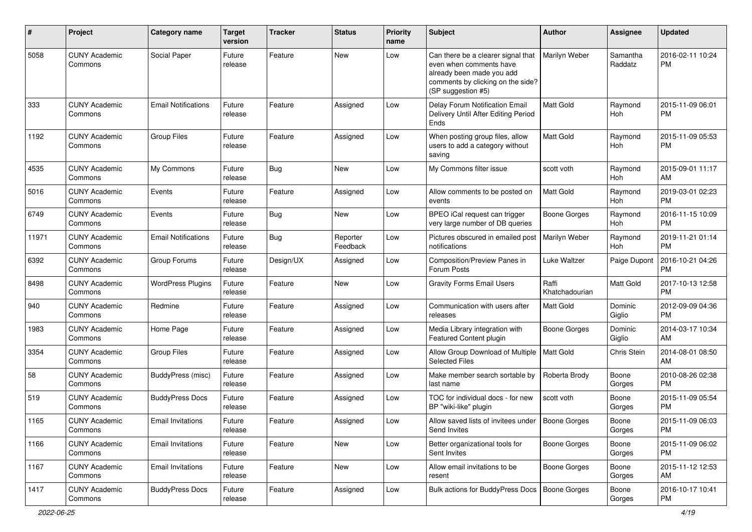| #     | Project                         | <b>Category name</b>       | <b>Target</b><br>version | <b>Tracker</b> | <b>Status</b>        | <b>Priority</b><br>name | Subject                                                                                                                                               | <b>Author</b>           | Assignee              | <b>Updated</b>                |
|-------|---------------------------------|----------------------------|--------------------------|----------------|----------------------|-------------------------|-------------------------------------------------------------------------------------------------------------------------------------------------------|-------------------------|-----------------------|-------------------------------|
| 5058  | <b>CUNY Academic</b><br>Commons | Social Paper               | Future<br>release        | Feature        | <b>New</b>           | Low                     | Can there be a clearer signal that<br>even when comments have<br>already been made you add<br>comments by clicking on the side?<br>(SP suggestion #5) | Marilyn Weber           | Samantha<br>Raddatz   | 2016-02-11 10:24<br><b>PM</b> |
| 333   | <b>CUNY Academic</b><br>Commons | <b>Email Notifications</b> | Future<br>release        | Feature        | Assigned             | Low                     | Delay Forum Notification Email<br>Delivery Until After Editing Period<br>Ends                                                                         | Matt Gold               | Raymond<br>Hoh        | 2015-11-09 06:01<br><b>PM</b> |
| 1192  | <b>CUNY Academic</b><br>Commons | <b>Group Files</b>         | Future<br>release        | Feature        | Assigned             | Low                     | When posting group files, allow<br>users to add a category without<br>saving                                                                          | Matt Gold               | Raymond<br>Hoh        | 2015-11-09 05:53<br><b>PM</b> |
| 4535  | <b>CUNY Academic</b><br>Commons | My Commons                 | Future<br>release        | Bug            | <b>New</b>           | Low                     | My Commons filter issue                                                                                                                               | scott voth              | Raymond<br><b>Hoh</b> | 2015-09-01 11:17<br>AM        |
| 5016  | <b>CUNY Academic</b><br>Commons | Events                     | Future<br>release        | Feature        | Assigned             | Low                     | Allow comments to be posted on<br>events                                                                                                              | Matt Gold               | Raymond<br>Hoh        | 2019-03-01 02:23<br><b>PM</b> |
| 6749  | <b>CUNY Academic</b><br>Commons | Events                     | Future<br>release        | Bug            | New                  | Low                     | BPEO iCal request can trigger<br>very large number of DB queries                                                                                      | <b>Boone Gorges</b>     | Raymond<br>Hoh        | 2016-11-15 10:09<br><b>PM</b> |
| 11971 | <b>CUNY Academic</b><br>Commons | <b>Email Notifications</b> | Future<br>release        | <b>Bug</b>     | Reporter<br>Feedback | Low                     | Pictures obscured in emailed post<br>notifications                                                                                                    | Marilyn Weber           | Raymond<br><b>Hoh</b> | 2019-11-21 01:14<br><b>PM</b> |
| 6392  | <b>CUNY Academic</b><br>Commons | Group Forums               | Future<br>release        | Design/UX      | Assigned             | Low                     | Composition/Preview Panes in<br>Forum Posts                                                                                                           | Luke Waltzer            | Paige Dupont          | 2016-10-21 04:26<br><b>PM</b> |
| 8498  | <b>CUNY Academic</b><br>Commons | <b>WordPress Plugins</b>   | Future<br>release        | Feature        | <b>New</b>           | Low                     | <b>Gravity Forms Email Users</b>                                                                                                                      | Raffi<br>Khatchadourian | Matt Gold             | 2017-10-13 12:58<br><b>PM</b> |
| 940   | <b>CUNY Academic</b><br>Commons | Redmine                    | Future<br>release        | Feature        | Assigned             | Low                     | Communication with users after<br>releases                                                                                                            | <b>Matt Gold</b>        | Dominic<br>Giglio     | 2012-09-09 04:36<br><b>PM</b> |
| 1983  | <b>CUNY Academic</b><br>Commons | Home Page                  | Future<br>release        | Feature        | Assigned             | Low                     | Media Library integration with<br>Featured Content plugin                                                                                             | <b>Boone Gorges</b>     | Dominic<br>Giglio     | 2014-03-17 10:34<br>AM        |
| 3354  | <b>CUNY Academic</b><br>Commons | <b>Group Files</b>         | Future<br>release        | Feature        | Assigned             | Low                     | Allow Group Download of Multiple<br><b>Selected Files</b>                                                                                             | <b>Matt Gold</b>        | Chris Stein           | 2014-08-01 08:50<br>AM        |
| 58    | <b>CUNY Academic</b><br>Commons | BuddyPress (misc)          | Future<br>release        | Feature        | Assigned             | Low                     | Make member search sortable by<br>last name                                                                                                           | Roberta Brody           | Boone<br>Gorges       | 2010-08-26 02:38<br><b>PM</b> |
| 519   | <b>CUNY Academic</b><br>Commons | <b>BuddyPress Docs</b>     | Future<br>release        | Feature        | Assigned             | Low                     | TOC for individual docs - for new<br>BP "wiki-like" plugin                                                                                            | scott voth              | Boone<br>Gorges       | 2015-11-09 05:54<br><b>PM</b> |
| 1165  | <b>CUNY Academic</b><br>Commons | <b>Email Invitations</b>   | Future<br>release        | Feature        | Assigned             | Low                     | Allow saved lists of invitees under   Boone Gorges<br>Send Invites                                                                                    |                         | Boone<br>Gorges       | 2015-11-09 06:03<br>PM        |
| 1166  | <b>CUNY Academic</b><br>Commons | <b>Email Invitations</b>   | Future<br>release        | Feature        | New                  | Low                     | Better organizational tools for<br>Sent Invites                                                                                                       | <b>Boone Gorges</b>     | Boone<br>Gorges       | 2015-11-09 06:02<br>PM        |
| 1167  | <b>CUNY Academic</b><br>Commons | <b>Email Invitations</b>   | Future<br>release        | Feature        | New                  | Low                     | Allow email invitations to be<br>resent                                                                                                               | <b>Boone Gorges</b>     | Boone<br>Gorges       | 2015-11-12 12:53<br>AM        |
| 1417  | <b>CUNY Academic</b><br>Commons | <b>BuddyPress Docs</b>     | Future<br>release        | Feature        | Assigned             | Low                     | Bulk actions for BuddyPress Docs   Boone Gorges                                                                                                       |                         | Boone<br>Gorges       | 2016-10-17 10:41<br>PM        |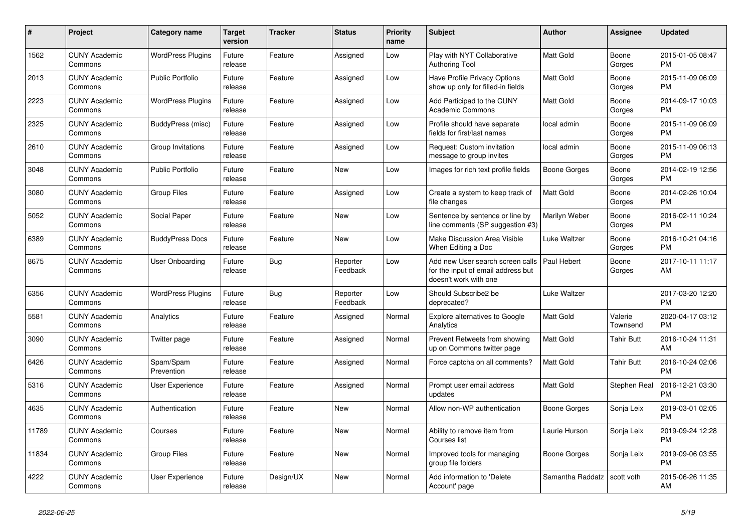| $\#$  | <b>Project</b>                  | <b>Category name</b>     | <b>Target</b><br>version | <b>Tracker</b> | <b>Status</b>        | <b>Priority</b><br>name | <b>Subject</b>                                                                                    | Author              | Assignee            | <b>Updated</b>                |
|-------|---------------------------------|--------------------------|--------------------------|----------------|----------------------|-------------------------|---------------------------------------------------------------------------------------------------|---------------------|---------------------|-------------------------------|
| 1562  | <b>CUNY Academic</b><br>Commons | <b>WordPress Plugins</b> | Future<br>release        | Feature        | Assigned             | Low                     | Play with NYT Collaborative<br><b>Authoring Tool</b>                                              | <b>Matt Gold</b>    | Boone<br>Gorges     | 2015-01-05 08:47<br><b>PM</b> |
| 2013  | <b>CUNY Academic</b><br>Commons | <b>Public Portfolio</b>  | Future<br>release        | Feature        | Assigned             | Low                     | Have Profile Privacy Options<br>show up only for filled-in fields                                 | <b>Matt Gold</b>    | Boone<br>Gorges     | 2015-11-09 06:09<br><b>PM</b> |
| 2223  | <b>CUNY Academic</b><br>Commons | <b>WordPress Plugins</b> | Future<br>release        | Feature        | Assigned             | Low                     | Add Participad to the CUNY<br><b>Academic Commons</b>                                             | <b>Matt Gold</b>    | Boone<br>Gorges     | 2014-09-17 10:03<br><b>PM</b> |
| 2325  | <b>CUNY Academic</b><br>Commons | BuddyPress (misc)        | Future<br>release        | Feature        | Assigned             | Low                     | Profile should have separate<br>fields for first/last names                                       | local admin         | Boone<br>Gorges     | 2015-11-09 06:09<br><b>PM</b> |
| 2610  | <b>CUNY Academic</b><br>Commons | Group Invitations        | Future<br>release        | Feature        | Assigned             | Low                     | Request: Custom invitation<br>message to group invites                                            | local admin         | Boone<br>Gorges     | 2015-11-09 06:13<br><b>PM</b> |
| 3048  | <b>CUNY Academic</b><br>Commons | <b>Public Portfolio</b>  | Future<br>release        | Feature        | New                  | Low                     | Images for rich text profile fields                                                               | <b>Boone Gorges</b> | Boone<br>Gorges     | 2014-02-19 12:56<br><b>PM</b> |
| 3080  | <b>CUNY Academic</b><br>Commons | <b>Group Files</b>       | Future<br>release        | Feature        | Assigned             | Low                     | Create a system to keep track of<br>file changes                                                  | <b>Matt Gold</b>    | Boone<br>Gorges     | 2014-02-26 10:04<br><b>PM</b> |
| 5052  | <b>CUNY Academic</b><br>Commons | Social Paper             | Future<br>release        | Feature        | <b>New</b>           | Low                     | Sentence by sentence or line by<br>line comments (SP suggestion #3)                               | Marilyn Weber       | Boone<br>Gorges     | 2016-02-11 10:24<br><b>PM</b> |
| 6389  | <b>CUNY Academic</b><br>Commons | <b>BuddyPress Docs</b>   | Future<br>release        | Feature        | <b>New</b>           | Low                     | Make Discussion Area Visible<br>When Editing a Doc                                                | Luke Waltzer        | Boone<br>Gorges     | 2016-10-21 04:16<br><b>PM</b> |
| 8675  | <b>CUNY Academic</b><br>Commons | <b>User Onboarding</b>   | Future<br>release        | Bug            | Reporter<br>Feedback | Low                     | Add new User search screen calls  <br>for the input of email address but<br>doesn't work with one | Paul Hebert         | Boone<br>Gorges     | 2017-10-11 11:17<br>AM        |
| 6356  | <b>CUNY Academic</b><br>Commons | <b>WordPress Plugins</b> | Future<br>release        | Bug            | Reporter<br>Feedback | Low                     | Should Subscribe2 be<br>deprecated?                                                               | Luke Waltzer        |                     | 2017-03-20 12:20<br><b>PM</b> |
| 5581  | <b>CUNY Academic</b><br>Commons | Analytics                | Future<br>release        | Feature        | Assigned             | Normal                  | Explore alternatives to Google<br>Analytics                                                       | <b>Matt Gold</b>    | Valerie<br>Townsend | 2020-04-17 03:12<br><b>PM</b> |
| 3090  | <b>CUNY Academic</b><br>Commons | Twitter page             | Future<br>release        | Feature        | Assigned             | Normal                  | Prevent Retweets from showing<br>up on Commons twitter page                                       | <b>Matt Gold</b>    | <b>Tahir Butt</b>   | 2016-10-24 11:31<br>AM        |
| 6426  | <b>CUNY Academic</b><br>Commons | Spam/Spam<br>Prevention  | Future<br>release        | Feature        | Assigned             | Normal                  | Force captcha on all comments?                                                                    | Matt Gold           | <b>Tahir Butt</b>   | 2016-10-24 02:06<br><b>PM</b> |
| 5316  | <b>CUNY Academic</b><br>Commons | User Experience          | Future<br>release        | Feature        | Assigned             | Normal                  | Prompt user email address<br>updates                                                              | Matt Gold           | Stephen Real        | 2016-12-21 03:30<br><b>PM</b> |
| 4635  | <b>CUNY Academic</b><br>Commons | Authentication           | Future<br>release        | Feature        | <b>New</b>           | Normal                  | Allow non-WP authentication                                                                       | Boone Gorges        | Sonja Leix          | 2019-03-01 02:05<br><b>PM</b> |
| 11789 | <b>CUNY Academic</b><br>Commons | Courses                  | Future<br>release        | Feature        | <b>New</b>           | Normal                  | Ability to remove item from<br>Courses list                                                       | Laurie Hurson       | Sonja Leix          | 2019-09-24 12:28<br><b>PM</b> |
| 11834 | <b>CUNY Academic</b><br>Commons | <b>Group Files</b>       | Future<br>release        | Feature        | New                  | Normal                  | Improved tools for managing<br>group file folders                                                 | Boone Gorges        | Sonja Leix          | 2019-09-06 03:55<br><b>PM</b> |
| 4222  | <b>CUNY Academic</b><br>Commons | User Experience          | Future<br>release        | Design/UX      | <b>New</b>           | Normal                  | Add information to 'Delete<br>Account' page                                                       | Samantha Raddatz    | scott voth          | 2015-06-26 11:35<br>AM        |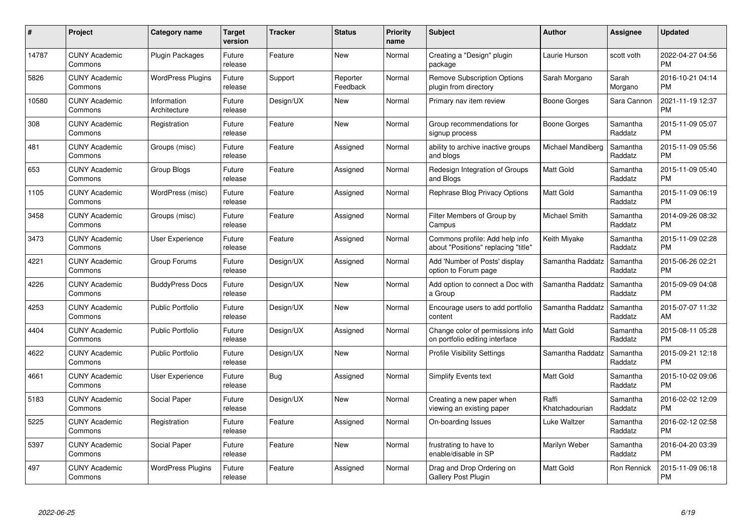| #     | Project                         | Category name               | <b>Target</b><br>version | <b>Tracker</b> | <b>Status</b>        | <b>Priority</b><br>name | <b>Subject</b>                                                        | <b>Author</b>           | Assignee            | <b>Updated</b>                |
|-------|---------------------------------|-----------------------------|--------------------------|----------------|----------------------|-------------------------|-----------------------------------------------------------------------|-------------------------|---------------------|-------------------------------|
| 14787 | <b>CUNY Academic</b><br>Commons | <b>Plugin Packages</b>      | Future<br>release        | Feature        | <b>New</b>           | Normal                  | Creating a "Design" plugin<br>package                                 | Laurie Hurson           | scott voth          | 2022-04-27 04:56<br><b>PM</b> |
| 5826  | <b>CUNY Academic</b><br>Commons | <b>WordPress Plugins</b>    | Future<br>release        | Support        | Reporter<br>Feedback | Normal                  | <b>Remove Subscription Options</b><br>plugin from directory           | Sarah Morgano           | Sarah<br>Morgano    | 2016-10-21 04:14<br><b>PM</b> |
| 10580 | <b>CUNY Academic</b><br>Commons | Information<br>Architecture | Future<br>release        | Design/UX      | <b>New</b>           | Normal                  | Primary nav item review                                               | Boone Gorges            | Sara Cannon         | 2021-11-19 12:37<br><b>PM</b> |
| 308   | CUNY Academic<br>Commons        | Registration                | Future<br>release        | Feature        | New                  | Normal                  | Group recommendations for<br>signup process                           | Boone Gorges            | Samantha<br>Raddatz | 2015-11-09 05:07<br><b>PM</b> |
| 481   | <b>CUNY Academic</b><br>Commons | Groups (misc)               | Future<br>release        | Feature        | Assigned             | Normal                  | ability to archive inactive groups<br>and blogs                       | Michael Mandiberg       | Samantha<br>Raddatz | 2015-11-09 05:56<br><b>PM</b> |
| 653   | <b>CUNY Academic</b><br>Commons | <b>Group Blogs</b>          | Future<br>release        | Feature        | Assigned             | Normal                  | Redesign Integration of Groups<br>and Blogs                           | Matt Gold               | Samantha<br>Raddatz | 2015-11-09 05:40<br><b>PM</b> |
| 1105  | <b>CUNY Academic</b><br>Commons | WordPress (misc)            | Future<br>release        | Feature        | Assigned             | Normal                  | Rephrase Blog Privacy Options                                         | <b>Matt Gold</b>        | Samantha<br>Raddatz | 2015-11-09 06:19<br><b>PM</b> |
| 3458  | <b>CUNY Academic</b><br>Commons | Groups (misc)               | Future<br>release        | Feature        | Assigned             | Normal                  | Filter Members of Group by<br>Campus                                  | Michael Smith           | Samantha<br>Raddatz | 2014-09-26 08:32<br><b>PM</b> |
| 3473  | <b>CUNY Academic</b><br>Commons | <b>User Experience</b>      | Future<br>release        | Feature        | Assigned             | Normal                  | Commons profile: Add help info<br>about "Positions" replacing "title" | Keith Miyake            | Samantha<br>Raddatz | 2015-11-09 02:28<br><b>PM</b> |
| 4221  | <b>CUNY Academic</b><br>Commons | Group Forums                | Future<br>release        | Design/UX      | Assigned             | Normal                  | Add 'Number of Posts' display<br>option to Forum page                 | Samantha Raddatz        | Samantha<br>Raddatz | 2015-06-26 02:21<br><b>PM</b> |
| 4226  | <b>CUNY Academic</b><br>Commons | <b>BuddyPress Docs</b>      | Future<br>release        | Design/UX      | <b>New</b>           | Normal                  | Add option to connect a Doc with<br>a Group                           | Samantha Raddatz        | Samantha<br>Raddatz | 2015-09-09 04:08<br><b>PM</b> |
| 4253  | <b>CUNY Academic</b><br>Commons | <b>Public Portfolio</b>     | Future<br>release        | Design/UX      | New                  | Normal                  | Encourage users to add portfolio<br>content                           | Samantha Raddatz        | Samantha<br>Raddatz | 2015-07-07 11:32<br>AM        |
| 4404  | <b>CUNY Academic</b><br>Commons | <b>Public Portfolio</b>     | Future<br>release        | Design/UX      | Assigned             | Normal                  | Change color of permissions info<br>on portfolio editing interface    | <b>Matt Gold</b>        | Samantha<br>Raddatz | 2015-08-11 05:28<br><b>PM</b> |
| 4622  | <b>CUNY Academic</b><br>Commons | <b>Public Portfolio</b>     | Future<br>release        | Design/UX      | <b>New</b>           | Normal                  | <b>Profile Visibility Settings</b>                                    | Samantha Raddatz        | Samantha<br>Raddatz | 2015-09-21 12:18<br><b>PM</b> |
| 4661  | <b>CUNY Academic</b><br>Commons | User Experience             | Future<br>release        | <b>Bug</b>     | Assigned             | Normal                  | <b>Simplify Events text</b>                                           | <b>Matt Gold</b>        | Samantha<br>Raddatz | 2015-10-02 09:06<br><b>PM</b> |
| 5183  | <b>CUNY Academic</b><br>Commons | Social Paper                | Future<br>release        | Design/UX      | <b>New</b>           | Normal                  | Creating a new paper when<br>viewing an existing paper                | Raffi<br>Khatchadourian | Samantha<br>Raddatz | 2016-02-02 12:09<br><b>PM</b> |
| 5225  | <b>CUNY Academic</b><br>Commons | Registration                | Future<br>release        | Feature        | Assigned             | Normal                  | On-boarding Issues                                                    | Luke Waltzer            | Samantha<br>Raddatz | 2016-02-12 02:58<br><b>PM</b> |
| 5397  | <b>CUNY Academic</b><br>Commons | Social Paper                | Future<br>release        | Feature        | <b>New</b>           | Normal                  | frustrating to have to<br>enable/disable in SP                        | Marilyn Weber           | Samantha<br>Raddatz | 2016-04-20 03:39<br><b>PM</b> |
| 497   | CUNY Academic<br>Commons        | <b>WordPress Plugins</b>    | Future<br>release        | Feature        | Assigned             | Normal                  | Drag and Drop Ordering on<br><b>Gallery Post Plugin</b>               | <b>Matt Gold</b>        | Ron Rennick         | 2015-11-09 06:18<br>PM        |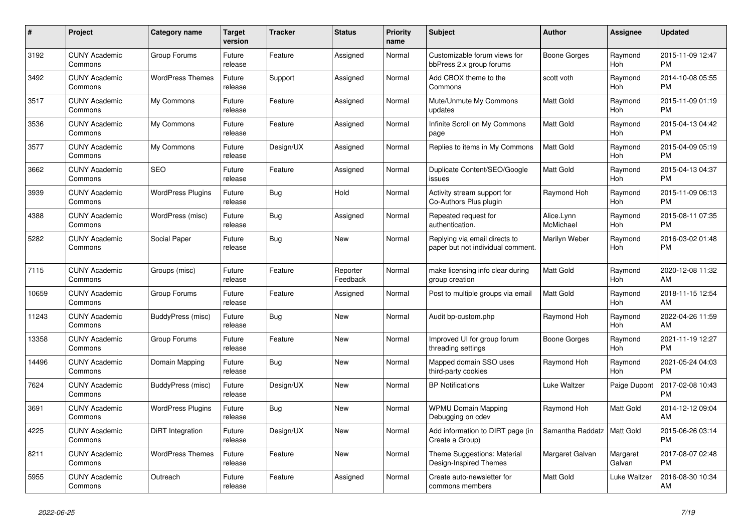| #     | <b>Project</b>                  | <b>Category name</b>     | Target<br>version | Tracker    | <b>Status</b>        | <b>Priority</b><br>name | <b>Subject</b>                                                     | <b>Author</b>           | Assignee              | <b>Updated</b>                |
|-------|---------------------------------|--------------------------|-------------------|------------|----------------------|-------------------------|--------------------------------------------------------------------|-------------------------|-----------------------|-------------------------------|
| 3192  | <b>CUNY Academic</b><br>Commons | Group Forums             | Future<br>release | Feature    | Assigned             | Normal                  | Customizable forum views for<br>bbPress 2.x group forums           | Boone Gorges            | Raymond<br><b>Hoh</b> | 2015-11-09 12:47<br><b>PM</b> |
| 3492  | <b>CUNY Academic</b><br>Commons | <b>WordPress Themes</b>  | Future<br>release | Support    | Assigned             | Normal                  | Add CBOX theme to the<br>Commons                                   | scott voth              | Raymond<br>Hoh        | 2014-10-08 05:55<br><b>PM</b> |
| 3517  | <b>CUNY Academic</b><br>Commons | My Commons               | Future<br>release | Feature    | Assigned             | Normal                  | Mute/Unmute My Commons<br>updates                                  | Matt Gold               | Raymond<br>Hoh        | 2015-11-09 01:19<br><b>PM</b> |
| 3536  | <b>CUNY Academic</b><br>Commons | My Commons               | Future<br>release | Feature    | Assigned             | Normal                  | Infinite Scroll on My Commons<br>page                              | <b>Matt Gold</b>        | Raymond<br><b>Hoh</b> | 2015-04-13 04:42<br><b>PM</b> |
| 3577  | <b>CUNY Academic</b><br>Commons | My Commons               | Future<br>release | Design/UX  | Assigned             | Normal                  | Replies to items in My Commons                                     | Matt Gold               | Raymond<br>Hoh        | 2015-04-09 05:19<br><b>PM</b> |
| 3662  | <b>CUNY Academic</b><br>Commons | <b>SEO</b>               | Future<br>release | Feature    | Assigned             | Normal                  | Duplicate Content/SEO/Google<br>issues                             | Matt Gold               | Raymond<br>Hoh        | 2015-04-13 04:37<br><b>PM</b> |
| 3939  | <b>CUNY Academic</b><br>Commons | <b>WordPress Plugins</b> | Future<br>release | Bug        | Hold                 | Normal                  | Activity stream support for<br>Co-Authors Plus plugin              | Raymond Hoh             | Raymond<br><b>Hoh</b> | 2015-11-09 06:13<br><b>PM</b> |
| 4388  | <b>CUNY Academic</b><br>Commons | WordPress (misc)         | Future<br>release | Bug        | Assigned             | Normal                  | Repeated request for<br>authentication.                            | Alice.Lynn<br>McMichael | Raymond<br>Hoh        | 2015-08-11 07:35<br><b>PM</b> |
| 5282  | <b>CUNY Academic</b><br>Commons | Social Paper             | Future<br>release | <b>Bug</b> | <b>New</b>           | Normal                  | Replying via email directs to<br>paper but not individual comment. | Marilyn Weber           | Raymond<br>Hoh        | 2016-03-02 01:48<br><b>PM</b> |
| 7115  | <b>CUNY Academic</b><br>Commons | Groups (misc)            | Future<br>release | Feature    | Reporter<br>Feedback | Normal                  | make licensing info clear during<br>group creation                 | <b>Matt Gold</b>        | Raymond<br>Hoh        | 2020-12-08 11:32<br>AM        |
| 10659 | <b>CUNY Academic</b><br>Commons | Group Forums             | Future<br>release | Feature    | Assigned             | Normal                  | Post to multiple groups via email                                  | Matt Gold               | Raymond<br>Hoh        | 2018-11-15 12:54<br>AM        |
| 11243 | <b>CUNY Academic</b><br>Commons | BuddyPress (misc)        | Future<br>release | <b>Bug</b> | <b>New</b>           | Normal                  | Audit bp-custom.php                                                | Raymond Hoh             | Raymond<br><b>Hoh</b> | 2022-04-26 11:59<br>AM        |
| 13358 | <b>CUNY Academic</b><br>Commons | Group Forums             | Future<br>release | Feature    | New                  | Normal                  | Improved UI for group forum<br>threading settings                  | Boone Gorges            | Raymond<br>Hoh        | 2021-11-19 12:27<br><b>PM</b> |
| 14496 | <b>CUNY Academic</b><br>Commons | Domain Mapping           | Future<br>release | <b>Bug</b> | <b>New</b>           | Normal                  | Mapped domain SSO uses<br>third-party cookies                      | Raymond Hoh             | Raymond<br>Hoh        | 2021-05-24 04:03<br><b>PM</b> |
| 7624  | <b>CUNY Academic</b><br>Commons | BuddyPress (misc)        | Future<br>release | Design/UX  | New                  | Normal                  | <b>BP</b> Notifications                                            | Luke Waltzer            | Paige Dupont          | 2017-02-08 10:43<br><b>PM</b> |
| 3691  | <b>CUNY Academic</b><br>Commons | <b>WordPress Plugins</b> | Future<br>release | Bug        | <b>New</b>           | Normal                  | <b>WPMU Domain Mapping</b><br>Debugging on cdev                    | Raymond Hoh             | Matt Gold             | 2014-12-12 09:04<br>AM        |
| 4225  | <b>CUNY Academic</b><br>Commons | DiRT Integration         | Future<br>release | Design/UX  | <b>New</b>           | Normal                  | Add information to DIRT page (in<br>Create a Group)                | Samantha Raddatz        | Matt Gold             | 2015-06-26 03:14<br><b>PM</b> |
| 8211  | <b>CUNY Academic</b><br>Commons | <b>WordPress Themes</b>  | Future<br>release | Feature    | <b>New</b>           | Normal                  | Theme Suggestions: Material<br>Design-Inspired Themes              | Margaret Galvan         | Margaret<br>Galvan    | 2017-08-07 02:48<br><b>PM</b> |
| 5955  | <b>CUNY Academic</b><br>Commons | Outreach                 | Future<br>release | Feature    | Assigned             | Normal                  | Create auto-newsletter for<br>commons members                      | Matt Gold               | Luke Waltzer          | 2016-08-30 10:34<br>AM        |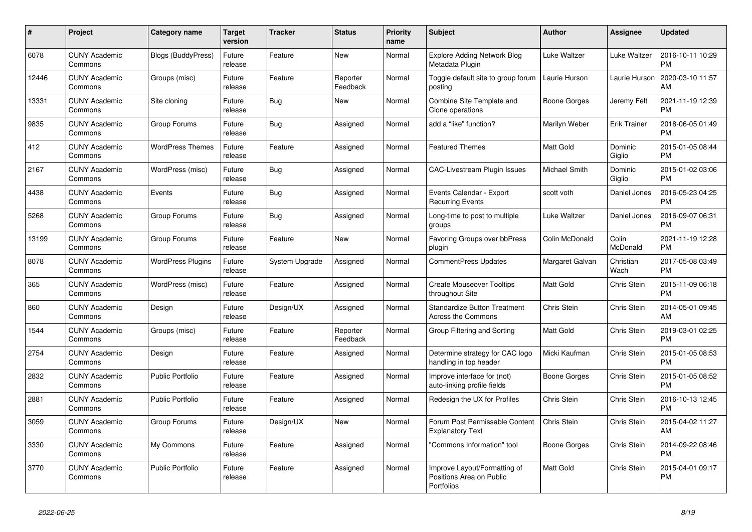| $\pmb{\#}$ | Project                         | Category name             | <b>Target</b><br>version | <b>Tracker</b> | <b>Status</b>        | <b>Priority</b><br>name | <b>Subject</b>                                                         | <b>Author</b>    | <b>Assignee</b>     | <b>Updated</b>                |
|------------|---------------------------------|---------------------------|--------------------------|----------------|----------------------|-------------------------|------------------------------------------------------------------------|------------------|---------------------|-------------------------------|
| 6078       | <b>CUNY Academic</b><br>Commons | <b>Blogs (BuddyPress)</b> | Future<br>release        | Feature        | <b>New</b>           | Normal                  | <b>Explore Adding Network Blog</b><br>Metadata Plugin                  | Luke Waltzer     | Luke Waltzer        | 2016-10-11 10:29<br><b>PM</b> |
| 12446      | <b>CUNY Academic</b><br>Commons | Groups (misc)             | Future<br>release        | Feature        | Reporter<br>Feedback | Normal                  | Toggle default site to group forum<br>posting                          | Laurie Hurson    | Laurie Hurson       | 2020-03-10 11:57<br>AM        |
| 13331      | <b>CUNY Academic</b><br>Commons | Site cloning              | Future<br>release        | <b>Bug</b>     | <b>New</b>           | Normal                  | Combine Site Template and<br>Clone operations                          | Boone Gorges     | Jeremy Felt         | 2021-11-19 12:39<br><b>PM</b> |
| 9835       | <b>CUNY Academic</b><br>Commons | Group Forums              | Future<br>release        | <b>Bug</b>     | Assigned             | Normal                  | add a "like" function?                                                 | Marilyn Weber    | <b>Erik Trainer</b> | 2018-06-05 01:49<br><b>PM</b> |
| 412        | <b>CUNY Academic</b><br>Commons | <b>WordPress Themes</b>   | Future<br>release        | Feature        | Assigned             | Normal                  | <b>Featured Themes</b>                                                 | <b>Matt Gold</b> | Dominic<br>Giglio   | 2015-01-05 08:44<br><b>PM</b> |
| 2167       | <b>CUNY Academic</b><br>Commons | WordPress (misc)          | Future<br>release        | Bug            | Assigned             | Normal                  | <b>CAC-Livestream Plugin Issues</b>                                    | Michael Smith    | Dominic<br>Giglio   | 2015-01-02 03:06<br><b>PM</b> |
| 4438       | <b>CUNY Academic</b><br>Commons | Events                    | Future<br>release        | <b>Bug</b>     | Assigned             | Normal                  | Events Calendar - Export<br><b>Recurring Events</b>                    | scott voth       | Daniel Jones        | 2016-05-23 04:25<br><b>PM</b> |
| 5268       | <b>CUNY Academic</b><br>Commons | Group Forums              | Future<br>release        | Bug            | Assigned             | Normal                  | Long-time to post to multiple<br>groups                                | Luke Waltzer     | Daniel Jones        | 2016-09-07 06:31<br><b>PM</b> |
| 13199      | <b>CUNY Academic</b><br>Commons | Group Forums              | Future<br>release        | Feature        | New                  | Normal                  | Favoring Groups over bbPress<br>plugin                                 | Colin McDonald   | Colin<br>McDonald   | 2021-11-19 12:28<br><b>PM</b> |
| 8078       | <b>CUNY Academic</b><br>Commons | WordPress Plugins         | Future<br>release        | System Upgrade | Assigned             | Normal                  | <b>CommentPress Updates</b>                                            | Margaret Galvan  | Christian<br>Wach   | 2017-05-08 03:49<br><b>PM</b> |
| 365        | <b>CUNY Academic</b><br>Commons | WordPress (misc)          | Future<br>release        | Feature        | Assigned             | Normal                  | <b>Create Mouseover Tooltips</b><br>throughout Site                    | <b>Matt Gold</b> | Chris Stein         | 2015-11-09 06:18<br><b>PM</b> |
| 860        | <b>CUNY Academic</b><br>Commons | Design                    | Future<br>release        | Design/UX      | Assigned             | Normal                  | <b>Standardize Button Treatment</b><br><b>Across the Commons</b>       | Chris Stein      | Chris Stein         | 2014-05-01 09:45<br>AM        |
| 1544       | <b>CUNY Academic</b><br>Commons | Groups (misc)             | Future<br>release        | Feature        | Reporter<br>Feedback | Normal                  | Group Filtering and Sorting                                            | <b>Matt Gold</b> | Chris Stein         | 2019-03-01 02:25<br><b>PM</b> |
| 2754       | <b>CUNY Academic</b><br>Commons | Design                    | Future<br>release        | Feature        | Assigned             | Normal                  | Determine strategy for CAC logo<br>handling in top header              | Micki Kaufman    | Chris Stein         | 2015-01-05 08:53<br><b>PM</b> |
| 2832       | <b>CUNY Academic</b><br>Commons | <b>Public Portfolio</b>   | Future<br>release        | Feature        | Assigned             | Normal                  | Improve interface for (not)<br>auto-linking profile fields             | Boone Gorges     | Chris Stein         | 2015-01-05 08:52<br><b>PM</b> |
| 2881       | <b>CUNY Academic</b><br>Commons | <b>Public Portfolio</b>   | Future<br>release        | Feature        | Assigned             | Normal                  | Redesign the UX for Profiles                                           | Chris Stein      | Chris Stein         | 2016-10-13 12:45<br><b>PM</b> |
| 3059       | <b>CUNY Academic</b><br>Commons | Group Forums              | Future<br>release        | Design/UX      | <b>New</b>           | Normal                  | Forum Post Permissable Content<br><b>Explanatory Text</b>              | Chris Stein      | Chris Stein         | 2015-04-02 11:27<br>AM        |
| 3330       | <b>CUNY Academic</b><br>Commons | My Commons                | Future<br>release        | Feature        | Assigned             | Normal                  | 'Commons Information" tool                                             | Boone Gorges     | Chris Stein         | 2014-09-22 08:46<br><b>PM</b> |
| 3770       | <b>CUNY Academic</b><br>Commons | <b>Public Portfolio</b>   | Future<br>release        | Feature        | Assigned             | Normal                  | Improve Layout/Formatting of<br>Positions Area on Public<br>Portfolios | <b>Matt Gold</b> | Chris Stein         | 2015-04-01 09:17<br><b>PM</b> |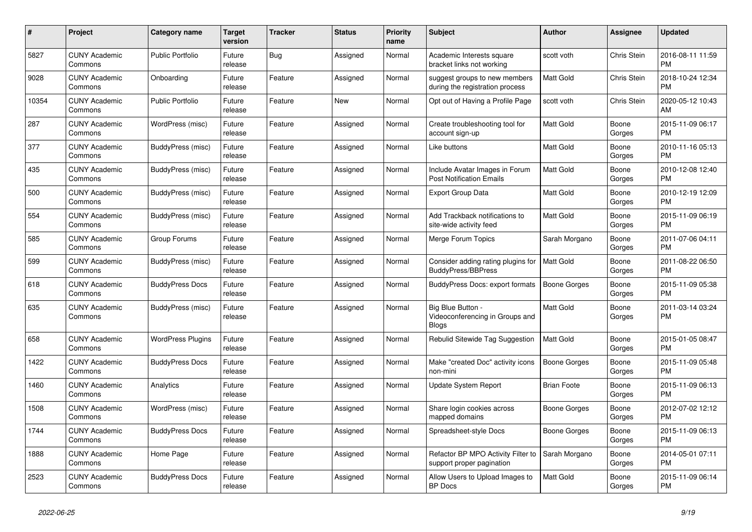| $\#$  | <b>Project</b>                  | Category name            | Target<br>version | <b>Tracker</b> | <b>Status</b> | <b>Priority</b><br>name | <b>Subject</b>                                                    | <b>Author</b>       | Assignee        | <b>Updated</b>                |
|-------|---------------------------------|--------------------------|-------------------|----------------|---------------|-------------------------|-------------------------------------------------------------------|---------------------|-----------------|-------------------------------|
| 5827  | <b>CUNY Academic</b><br>Commons | <b>Public Portfolio</b>  | Future<br>release | Bug            | Assigned      | Normal                  | Academic Interests square<br>bracket links not working            | scott voth          | Chris Stein     | 2016-08-11 11:59<br><b>PM</b> |
| 9028  | <b>CUNY Academic</b><br>Commons | Onboarding               | Future<br>release | Feature        | Assigned      | Normal                  | suggest groups to new members<br>during the registration process  | <b>Matt Gold</b>    | Chris Stein     | 2018-10-24 12:34<br><b>PM</b> |
| 10354 | <b>CUNY Academic</b><br>Commons | <b>Public Portfolio</b>  | Future<br>release | Feature        | <b>New</b>    | Normal                  | Opt out of Having a Profile Page                                  | scott voth          | Chris Stein     | 2020-05-12 10:43<br>AM        |
| 287   | <b>CUNY Academic</b><br>Commons | WordPress (misc)         | Future<br>release | Feature        | Assigned      | Normal                  | Create troubleshooting tool for<br>account sign-up                | Matt Gold           | Boone<br>Gorges | 2015-11-09 06:17<br><b>PM</b> |
| 377   | <b>CUNY Academic</b><br>Commons | BuddyPress (misc)        | Future<br>release | Feature        | Assigned      | Normal                  | Like buttons                                                      | Matt Gold           | Boone<br>Gorges | 2010-11-16 05:13<br><b>PM</b> |
| 435   | <b>CUNY Academic</b><br>Commons | BuddyPress (misc)        | Future<br>release | Feature        | Assigned      | Normal                  | Include Avatar Images in Forum<br><b>Post Notification Emails</b> | Matt Gold           | Boone<br>Gorges | 2010-12-08 12:40<br><b>PM</b> |
| 500   | <b>CUNY Academic</b><br>Commons | BuddyPress (misc)        | Future<br>release | Feature        | Assigned      | Normal                  | <b>Export Group Data</b>                                          | Matt Gold           | Boone<br>Gorges | 2010-12-19 12:09<br><b>PM</b> |
| 554   | <b>CUNY Academic</b><br>Commons | BuddyPress (misc)        | Future<br>release | Feature        | Assigned      | Normal                  | Add Trackback notifications to<br>site-wide activity feed         | Matt Gold           | Boone<br>Gorges | 2015-11-09 06:19<br><b>PM</b> |
| 585   | <b>CUNY Academic</b><br>Commons | Group Forums             | Future<br>release | Feature        | Assigned      | Normal                  | Merge Forum Topics                                                | Sarah Morgano       | Boone<br>Gorges | 2011-07-06 04:11<br><b>PM</b> |
| 599   | <b>CUNY Academic</b><br>Commons | BuddyPress (misc)        | Future<br>release | Feature        | Assigned      | Normal                  | Consider adding rating plugins for<br>BuddyPress/BBPress          | Matt Gold           | Boone<br>Gorges | 2011-08-22 06:50<br><b>PM</b> |
| 618   | <b>CUNY Academic</b><br>Commons | <b>BuddyPress Docs</b>   | Future<br>release | Feature        | Assigned      | Normal                  | BuddyPress Docs: export formats                                   | <b>Boone Gorges</b> | Boone<br>Gorges | 2015-11-09 05:38<br><b>PM</b> |
| 635   | <b>CUNY Academic</b><br>Commons | BuddyPress (misc)        | Future<br>release | Feature        | Assigned      | Normal                  | Big Blue Button -<br>Videoconferencing in Groups and<br>Blogs     | <b>Matt Gold</b>    | Boone<br>Gorges | 2011-03-14 03:24<br><b>PM</b> |
| 658   | <b>CUNY Academic</b><br>Commons | <b>WordPress Plugins</b> | Future<br>release | Feature        | Assigned      | Normal                  | Rebulid Sitewide Tag Suggestion                                   | <b>Matt Gold</b>    | Boone<br>Gorges | 2015-01-05 08:47<br><b>PM</b> |
| 1422  | <b>CUNY Academic</b><br>Commons | <b>BuddyPress Docs</b>   | Future<br>release | Feature        | Assigned      | Normal                  | Make "created Doc" activity icons<br>non-mini                     | <b>Boone Gorges</b> | Boone<br>Gorges | 2015-11-09 05:48<br><b>PM</b> |
| 1460  | <b>CUNY Academic</b><br>Commons | Analytics                | Future<br>release | Feature        | Assigned      | Normal                  | Update System Report                                              | <b>Brian Foote</b>  | Boone<br>Gorges | 2015-11-09 06:13<br><b>PM</b> |
| 1508  | <b>CUNY Academic</b><br>Commons | WordPress (misc)         | Future<br>release | Feature        | Assigned      | Normal                  | Share login cookies across<br>mapped domains                      | Boone Gorges        | Boone<br>Gorges | 2012-07-02 12:12<br><b>PM</b> |
| 1744  | <b>CUNY Academic</b><br>Commons | <b>BuddyPress Docs</b>   | Future<br>release | Feature        | Assigned      | Normal                  | Spreadsheet-style Docs                                            | Boone Gorges        | Boone<br>Gorges | 2015-11-09 06:13<br><b>PM</b> |
| 1888  | <b>CUNY Academic</b><br>Commons | Home Page                | Future<br>release | Feature        | Assigned      | Normal                  | Refactor BP MPO Activity Filter to<br>support proper pagination   | Sarah Morgano       | Boone<br>Gorges | 2014-05-01 07:11<br><b>PM</b> |
| 2523  | <b>CUNY Academic</b><br>Commons | <b>BuddyPress Docs</b>   | Future<br>release | Feature        | Assigned      | Normal                  | Allow Users to Upload Images to<br><b>BP</b> Docs                 | <b>Matt Gold</b>    | Boone<br>Gorges | 2015-11-09 06:14<br><b>PM</b> |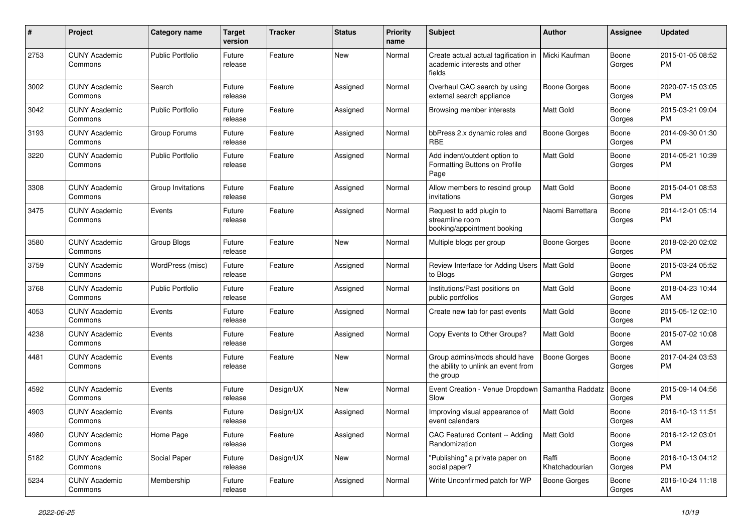| #    | Project                         | <b>Category name</b>    | <b>Target</b><br>version | <b>Tracker</b> | <b>Status</b> | <b>Priority</b><br>name | <b>Subject</b>                                                                    | Author                  | <b>Assignee</b> | <b>Updated</b>                |
|------|---------------------------------|-------------------------|--------------------------|----------------|---------------|-------------------------|-----------------------------------------------------------------------------------|-------------------------|-----------------|-------------------------------|
| 2753 | <b>CUNY Academic</b><br>Commons | <b>Public Portfolio</b> | Future<br>release        | Feature        | <b>New</b>    | Normal                  | Create actual actual tagification in<br>academic interests and other<br>fields    | Micki Kaufman           | Boone<br>Gorges | 2015-01-05 08:52<br>РM        |
| 3002 | <b>CUNY Academic</b><br>Commons | Search                  | Future<br>release        | Feature        | Assigned      | Normal                  | Overhaul CAC search by using<br>external search appliance                         | <b>Boone Gorges</b>     | Boone<br>Gorges | 2020-07-15 03:05<br><b>PM</b> |
| 3042 | <b>CUNY Academic</b><br>Commons | <b>Public Portfolio</b> | Future<br>release        | Feature        | Assigned      | Normal                  | Browsing member interests                                                         | Matt Gold               | Boone<br>Gorges | 2015-03-21 09:04<br><b>PM</b> |
| 3193 | <b>CUNY Academic</b><br>Commons | Group Forums            | Future<br>release        | Feature        | Assigned      | Normal                  | bbPress 2.x dynamic roles and<br><b>RBE</b>                                       | <b>Boone Gorges</b>     | Boone<br>Gorges | 2014-09-30 01:30<br><b>PM</b> |
| 3220 | <b>CUNY Academic</b><br>Commons | <b>Public Portfolio</b> | Future<br>release        | Feature        | Assigned      | Normal                  | Add indent/outdent option to<br>Formatting Buttons on Profile<br>Page             | Matt Gold               | Boone<br>Gorges | 2014-05-21 10:39<br><b>PM</b> |
| 3308 | <b>CUNY Academic</b><br>Commons | Group Invitations       | Future<br>release        | Feature        | Assigned      | Normal                  | Allow members to rescind group<br>invitations                                     | Matt Gold               | Boone<br>Gorges | 2015-04-01 08:53<br><b>PM</b> |
| 3475 | <b>CUNY Academic</b><br>Commons | Events                  | Future<br>release        | Feature        | Assigned      | Normal                  | Request to add plugin to<br>streamline room<br>booking/appointment booking        | Naomi Barrettara        | Boone<br>Gorges | 2014-12-01 05:14<br><b>PM</b> |
| 3580 | <b>CUNY Academic</b><br>Commons | Group Blogs             | Future<br>release        | Feature        | <b>New</b>    | Normal                  | Multiple blogs per group                                                          | Boone Gorges            | Boone<br>Gorges | 2018-02-20 02:02<br><b>PM</b> |
| 3759 | <b>CUNY Academic</b><br>Commons | WordPress (misc)        | Future<br>release        | Feature        | Assigned      | Normal                  | Review Interface for Adding Users   Matt Gold<br>to Blogs                         |                         | Boone<br>Gorges | 2015-03-24 05:52<br><b>PM</b> |
| 3768 | <b>CUNY Academic</b><br>Commons | <b>Public Portfolio</b> | Future<br>release        | Feature        | Assigned      | Normal                  | Institutions/Past positions on<br>public portfolios                               | Matt Gold               | Boone<br>Gorges | 2018-04-23 10:44<br>AM        |
| 4053 | <b>CUNY Academic</b><br>Commons | Events                  | Future<br>release        | Feature        | Assigned      | Normal                  | Create new tab for past events                                                    | Matt Gold               | Boone<br>Gorges | 2015-05-12 02:10<br><b>PM</b> |
| 4238 | <b>CUNY Academic</b><br>Commons | Events                  | Future<br>release        | Feature        | Assigned      | Normal                  | Copy Events to Other Groups?                                                      | Matt Gold               | Boone<br>Gorges | 2015-07-02 10:08<br>AM        |
| 4481 | <b>CUNY Academic</b><br>Commons | Events                  | Future<br>release        | Feature        | <b>New</b>    | Normal                  | Group admins/mods should have<br>the ability to unlink an event from<br>the group | <b>Boone Gorges</b>     | Boone<br>Gorges | 2017-04-24 03:53<br><b>PM</b> |
| 4592 | <b>CUNY Academic</b><br>Commons | Events                  | Future<br>release        | Design/UX      | <b>New</b>    | Normal                  | Event Creation - Venue Dropdown<br>Slow                                           | Samantha Raddatz        | Boone<br>Gorges | 2015-09-14 04:56<br><b>PM</b> |
| 4903 | <b>CUNY Academic</b><br>Commons | Events                  | Future<br>release        | Design/UX      | Assigned      | Normal                  | Improving visual appearance of<br>event calendars                                 | Matt Gold               | Boone<br>Gorges | 2016-10-13 11:51<br>AM        |
| 4980 | <b>CUNY Academic</b><br>Commons | Home Page               | Future<br>release        | Feature        | Assigned      | Normal                  | CAC Featured Content -- Adding<br>Randomization                                   | Matt Gold               | Boone<br>Gorges | 2016-12-12 03:01<br><b>PM</b> |
| 5182 | <b>CUNY Academic</b><br>Commons | Social Paper            | Future<br>release        | Design/UX      | New           | Normal                  | "Publishing" a private paper on<br>social paper?                                  | Raffi<br>Khatchadourian | Boone<br>Gorges | 2016-10-13 04:12<br>PM        |
| 5234 | <b>CUNY Academic</b><br>Commons | Membership              | Future<br>release        | Feature        | Assigned      | Normal                  | Write Unconfirmed patch for WP                                                    | <b>Boone Gorges</b>     | Boone<br>Gorges | 2016-10-24 11:18<br>AM        |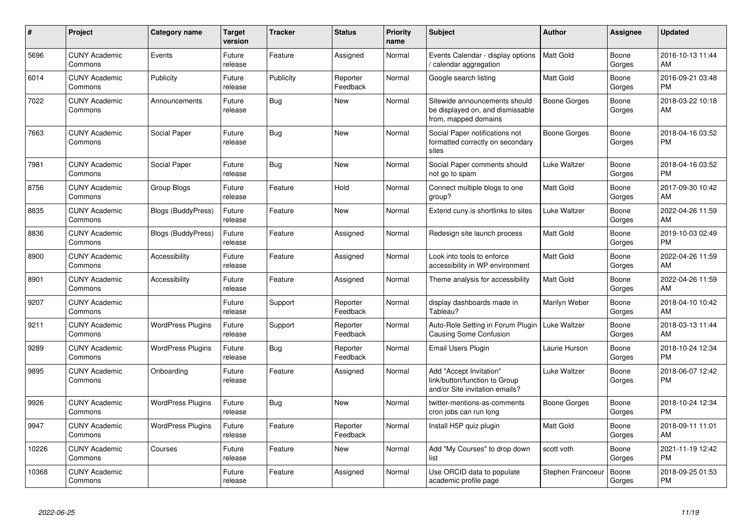| #     | Project                         | <b>Category name</b>      | Target<br>version | Tracker    | <b>Status</b>        | <b>Priority</b><br>name | <b>Subject</b>                                                                             | <b>Author</b>     | <b>Assignee</b> | <b>Updated</b>                |
|-------|---------------------------------|---------------------------|-------------------|------------|----------------------|-------------------------|--------------------------------------------------------------------------------------------|-------------------|-----------------|-------------------------------|
| 5696  | <b>CUNY Academic</b><br>Commons | Events                    | Future<br>release | Feature    | Assigned             | Normal                  | Events Calendar - display options<br>calendar aggregation                                  | <b>Matt Gold</b>  | Boone<br>Gorges | 2016-10-13 11:44<br>AM        |
| 6014  | <b>CUNY Academic</b><br>Commons | Publicity                 | Future<br>release | Publicity  | Reporter<br>Feedback | Normal                  | Google search listing                                                                      | Matt Gold         | Boone<br>Gorges | 2016-09-21 03:48<br><b>PM</b> |
| 7022  | <b>CUNY Academic</b><br>Commons | Announcements             | Future<br>release | Bug        | New                  | Normal                  | Sitewide announcements should<br>be displayed on, and dismissable<br>from, mapped domains  | Boone Gorges      | Boone<br>Gorges | 2018-03-22 10:18<br>AM        |
| 7663  | <b>CUNY Academic</b><br>Commons | Social Paper              | Future<br>release | <b>Bug</b> | <b>New</b>           | Normal                  | Social Paper notifications not<br>formatted correctly on secondary<br>sites                | Boone Gorges      | Boone<br>Gorges | 2018-04-16 03:52<br><b>PM</b> |
| 7981  | <b>CUNY Academic</b><br>Commons | Social Paper              | Future<br>release | Bug        | <b>New</b>           | Normal                  | Social Paper comments should<br>not go to spam                                             | Luke Waltzer      | Boone<br>Gorges | 2018-04-16 03:52<br><b>PM</b> |
| 8756  | <b>CUNY Academic</b><br>Commons | Group Blogs               | Future<br>release | Feature    | Hold                 | Normal                  | Connect multiple blogs to one<br>group?                                                    | Matt Gold         | Boone<br>Gorges | 2017-09-30 10:42<br>AM        |
| 8835  | <b>CUNY Academic</b><br>Commons | Blogs (BuddyPress)        | Future<br>release | Feature    | New                  | Normal                  | Extend cuny is shortlinks to sites                                                         | Luke Waltzer      | Boone<br>Gorges | 2022-04-26 11:59<br>AM        |
| 8836  | <b>CUNY Academic</b><br>Commons | <b>Blogs (BuddyPress)</b> | Future<br>release | Feature    | Assigned             | Normal                  | Redesign site launch process                                                               | Matt Gold         | Boone<br>Gorges | 2019-10-03 02:49<br><b>PM</b> |
| 8900  | <b>CUNY Academic</b><br>Commons | Accessibility             | Future<br>release | Feature    | Assigned             | Normal                  | Look into tools to enforce<br>accessibility in WP environment                              | Matt Gold         | Boone<br>Gorges | 2022-04-26 11:59<br>AM        |
| 8901  | <b>CUNY Academic</b><br>Commons | Accessibility             | Future<br>release | Feature    | Assigned             | Normal                  | Theme analysis for accessibility                                                           | Matt Gold         | Boone<br>Gorges | 2022-04-26 11:59<br>AM        |
| 9207  | <b>CUNY Academic</b><br>Commons |                           | Future<br>release | Support    | Reporter<br>Feedback | Normal                  | display dashboards made in<br>Tableau?                                                     | Marilyn Weber     | Boone<br>Gorges | 2018-04-10 10:42<br>AM        |
| 9211  | <b>CUNY Academic</b><br>Commons | <b>WordPress Plugins</b>  | Future<br>release | Support    | Reporter<br>Feedback | Normal                  | Auto-Role Setting in Forum Plugin<br><b>Causing Some Confusion</b>                         | Luke Waltzer      | Boone<br>Gorges | 2018-03-13 11:44<br>AM        |
| 9289  | <b>CUNY Academic</b><br>Commons | <b>WordPress Plugins</b>  | Future<br>release | Bug        | Reporter<br>Feedback | Normal                  | Email Users Plugin                                                                         | Laurie Hurson     | Boone<br>Gorges | 2018-10-24 12:34<br><b>PM</b> |
| 9895  | <b>CUNY Academic</b><br>Commons | Onboarding                | Future<br>release | Feature    | Assigned             | Normal                  | Add "Accept Invitation"<br>link/button/function to Group<br>and/or Site invitation emails? | Luke Waltzer      | Boone<br>Gorges | 2018-06-07 12:42<br><b>PM</b> |
| 9926  | <b>CUNY Academic</b><br>Commons | <b>WordPress Plugins</b>  | Future<br>release | Bug        | <b>New</b>           | Normal                  | twitter-mentions-as-comments<br>cron jobs can run long                                     | Boone Gorges      | Boone<br>Gorges | 2018-10-24 12:34<br><b>PM</b> |
| 9947  | <b>CUNY Academic</b><br>Commons | <b>WordPress Plugins</b>  | Future<br>release | Feature    | Reporter<br>Feedback | Normal                  | Install H5P quiz plugin                                                                    | Matt Gold         | Boone<br>Gorges | 2018-09-11 11:01<br>AM        |
| 10226 | <b>CUNY Academic</b><br>Commons | Courses                   | Future<br>release | Feature    | <b>New</b>           | Normal                  | Add "My Courses" to drop down<br>list                                                      | scott voth        | Boone<br>Gorges | 2021-11-19 12:42<br><b>PM</b> |
| 10368 | <b>CUNY Academic</b><br>Commons |                           | Future<br>release | Feature    | Assigned             | Normal                  | Use ORCID data to populate<br>academic profile page                                        | Stephen Francoeur | Boone<br>Gorges | 2018-09-25 01:53<br><b>PM</b> |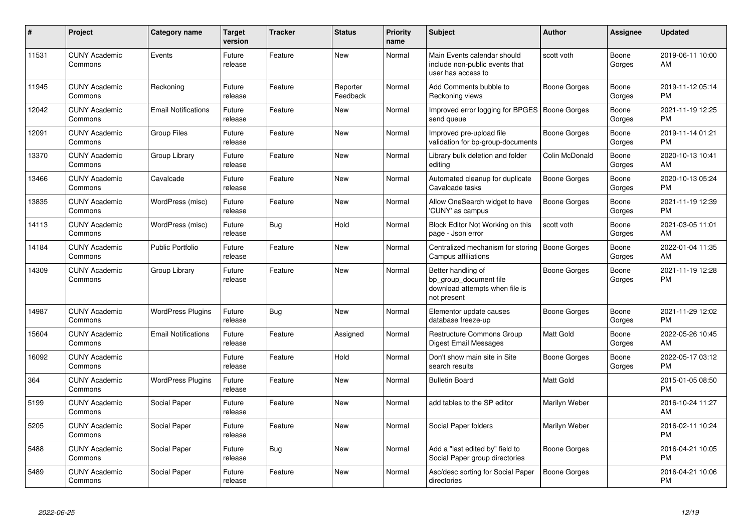| #     | Project                         | <b>Category name</b>       | Target<br>version | <b>Tracker</b> | <b>Status</b>        | <b>Priority</b><br>name | <b>Subject</b>                                                                                | <b>Author</b>       | <b>Assignee</b> | <b>Updated</b>                |
|-------|---------------------------------|----------------------------|-------------------|----------------|----------------------|-------------------------|-----------------------------------------------------------------------------------------------|---------------------|-----------------|-------------------------------|
| 11531 | <b>CUNY Academic</b><br>Commons | Events                     | Future<br>release | Feature        | <b>New</b>           | Normal                  | Main Events calendar should<br>include non-public events that<br>user has access to           | scott voth          | Boone<br>Gorges | 2019-06-11 10:00<br>AM        |
| 11945 | <b>CUNY Academic</b><br>Commons | Reckoning                  | Future<br>release | Feature        | Reporter<br>Feedback | Normal                  | Add Comments bubble to<br>Reckoning views                                                     | Boone Gorges        | Boone<br>Gorges | 2019-11-12 05:14<br><b>PM</b> |
| 12042 | <b>CUNY Academic</b><br>Commons | <b>Email Notifications</b> | Future<br>release | Feature        | New                  | Normal                  | Improved error logging for BPGES   Boone Gorges<br>send queue                                 |                     | Boone<br>Gorges | 2021-11-19 12:25<br><b>PM</b> |
| 12091 | <b>CUNY Academic</b><br>Commons | <b>Group Files</b>         | Future<br>release | Feature        | New                  | Normal                  | Improved pre-upload file<br>validation for bp-group-documents                                 | Boone Gorges        | Boone<br>Gorges | 2019-11-14 01:21<br><b>PM</b> |
| 13370 | <b>CUNY Academic</b><br>Commons | Group Library              | Future<br>release | Feature        | <b>New</b>           | Normal                  | Library bulk deletion and folder<br>editina                                                   | Colin McDonald      | Boone<br>Gorges | 2020-10-13 10:41<br>AM        |
| 13466 | <b>CUNY Academic</b><br>Commons | Cavalcade                  | Future<br>release | Feature        | <b>New</b>           | Normal                  | Automated cleanup for duplicate<br>Cavalcade tasks                                            | <b>Boone Gorges</b> | Boone<br>Gorges | 2020-10-13 05:24<br><b>PM</b> |
| 13835 | <b>CUNY Academic</b><br>Commons | WordPress (misc)           | Future<br>release | Feature        | <b>New</b>           | Normal                  | Allow OneSearch widget to have<br>'CUNY' as campus                                            | Boone Gorges        | Boone<br>Gorges | 2021-11-19 12:39<br><b>PM</b> |
| 14113 | <b>CUNY Academic</b><br>Commons | WordPress (misc)           | Future<br>release | Bug            | Hold                 | Normal                  | Block Editor Not Working on this<br>page - Json error                                         | scott voth          | Boone<br>Gorges | 2021-03-05 11:01<br>AM        |
| 14184 | <b>CUNY Academic</b><br>Commons | <b>Public Portfolio</b>    | Future<br>release | Feature        | <b>New</b>           | Normal                  | Centralized mechanism for storing<br>Campus affiliations                                      | <b>Boone Gorges</b> | Boone<br>Gorges | 2022-01-04 11:35<br>AM        |
| 14309 | <b>CUNY Academic</b><br>Commons | Group Library              | Future<br>release | Feature        | <b>New</b>           | Normal                  | Better handling of<br>bp group document file<br>download attempts when file is<br>not present | Boone Gorges        | Boone<br>Gorges | 2021-11-19 12:28<br><b>PM</b> |
| 14987 | <b>CUNY Academic</b><br>Commons | <b>WordPress Plugins</b>   | Future<br>release | Bug            | New                  | Normal                  | Elementor update causes<br>database freeze-up                                                 | Boone Gorges        | Boone<br>Gorges | 2021-11-29 12:02<br><b>PM</b> |
| 15604 | <b>CUNY Academic</b><br>Commons | <b>Email Notifications</b> | Future<br>release | Feature        | Assigned             | Normal                  | Restructure Commons Group<br>Digest Email Messages                                            | Matt Gold           | Boone<br>Gorges | 2022-05-26 10:45<br>AM        |
| 16092 | <b>CUNY Academic</b><br>Commons |                            | Future<br>release | Feature        | Hold                 | Normal                  | Don't show main site in Site<br>search results                                                | Boone Gorges        | Boone<br>Gorges | 2022-05-17 03:12<br><b>PM</b> |
| 364   | <b>CUNY Academic</b><br>Commons | <b>WordPress Plugins</b>   | Future<br>release | Feature        | <b>New</b>           | Normal                  | <b>Bulletin Board</b>                                                                         | Matt Gold           |                 | 2015-01-05 08:50<br><b>PM</b> |
| 5199  | <b>CUNY Academic</b><br>Commons | Social Paper               | Future<br>release | Feature        | <b>New</b>           | Normal                  | add tables to the SP editor                                                                   | Marilyn Weber       |                 | 2016-10-24 11:27<br>AM        |
| 5205  | <b>CUNY Academic</b><br>Commons | Social Paper               | Future<br>release | Feature        | <b>New</b>           | Normal                  | Social Paper folders                                                                          | Marilyn Weber       |                 | 2016-02-11 10:24<br><b>PM</b> |
| 5488  | <b>CUNY Academic</b><br>Commons | Social Paper               | Future<br>release | Bug            | <b>New</b>           | Normal                  | Add a "last edited by" field to<br>Social Paper group directories                             | Boone Gorges        |                 | 2016-04-21 10:05<br><b>PM</b> |
| 5489  | <b>CUNY Academic</b><br>Commons | Social Paper               | Future<br>release | Feature        | <b>New</b>           | Normal                  | Asc/desc sorting for Social Paper<br>directories                                              | Boone Gorges        |                 | 2016-04-21 10:06<br>PM        |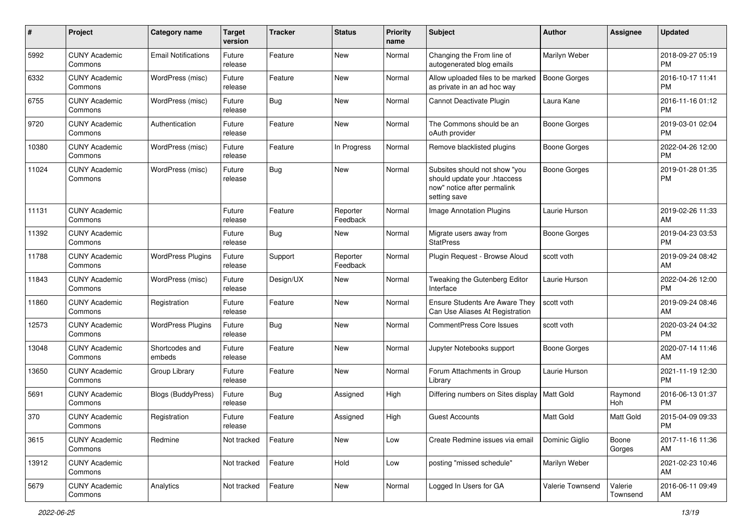| #     | Project                         | <b>Category name</b>       | <b>Target</b><br>version | <b>Tracker</b> | <b>Status</b>        | <b>Priority</b><br>name | <b>Subject</b>                                                                                               | Author              | Assignee            | <b>Updated</b>                |
|-------|---------------------------------|----------------------------|--------------------------|----------------|----------------------|-------------------------|--------------------------------------------------------------------------------------------------------------|---------------------|---------------------|-------------------------------|
| 5992  | <b>CUNY Academic</b><br>Commons | <b>Email Notifications</b> | Future<br>release        | Feature        | <b>New</b>           | Normal                  | Changing the From line of<br>autogenerated blog emails                                                       | Marilyn Weber       |                     | 2018-09-27 05:19<br><b>PM</b> |
| 6332  | <b>CUNY Academic</b><br>Commons | WordPress (misc)           | Future<br>release        | Feature        | <b>New</b>           | Normal                  | Allow uploaded files to be marked<br>as private in an ad hoc way                                             | <b>Boone Gorges</b> |                     | 2016-10-17 11:41<br><b>PM</b> |
| 6755  | <b>CUNY Academic</b><br>Commons | WordPress (misc)           | Future<br>release        | Bug            | <b>New</b>           | Normal                  | Cannot Deactivate Plugin                                                                                     | Laura Kane          |                     | 2016-11-16 01:12<br><b>PM</b> |
| 9720  | <b>CUNY Academic</b><br>Commons | Authentication             | Future<br>release        | Feature        | <b>New</b>           | Normal                  | The Commons should be an<br>oAuth provider                                                                   | <b>Boone Gorges</b> |                     | 2019-03-01 02:04<br><b>PM</b> |
| 10380 | <b>CUNY Academic</b><br>Commons | WordPress (misc)           | Future<br>release        | Feature        | In Progress          | Normal                  | Remove blacklisted plugins                                                                                   | <b>Boone Gorges</b> |                     | 2022-04-26 12:00<br><b>PM</b> |
| 11024 | <b>CUNY Academic</b><br>Commons | WordPress (misc)           | Future<br>release        | Bug            | <b>New</b>           | Normal                  | Subsites should not show "you<br>should update your .htaccess<br>now" notice after permalink<br>setting save | <b>Boone Gorges</b> |                     | 2019-01-28 01:35<br><b>PM</b> |
| 11131 | <b>CUNY Academic</b><br>Commons |                            | Future<br>release        | Feature        | Reporter<br>Feedback | Normal                  | <b>Image Annotation Plugins</b>                                                                              | Laurie Hurson       |                     | 2019-02-26 11:33<br>AM        |
| 11392 | <b>CUNY Academic</b><br>Commons |                            | Future<br>release        | Bug            | New                  | Normal                  | Migrate users away from<br><b>StatPress</b>                                                                  | <b>Boone Gorges</b> |                     | 2019-04-23 03:53<br><b>PM</b> |
| 11788 | <b>CUNY Academic</b><br>Commons | <b>WordPress Plugins</b>   | Future<br>release        | Support        | Reporter<br>Feedback | Normal                  | Plugin Request - Browse Aloud                                                                                | scott voth          |                     | 2019-09-24 08:42<br>AM        |
| 11843 | <b>CUNY Academic</b><br>Commons | WordPress (misc)           | Future<br>release        | Design/UX      | <b>New</b>           | Normal                  | Tweaking the Gutenberg Editor<br>Interface                                                                   | Laurie Hurson       |                     | 2022-04-26 12:00<br><b>PM</b> |
| 11860 | <b>CUNY Academic</b><br>Commons | Registration               | Future<br>release        | Feature        | <b>New</b>           | Normal                  | Ensure Students Are Aware They<br>Can Use Aliases At Registration                                            | scott voth          |                     | 2019-09-24 08:46<br>AM        |
| 12573 | <b>CUNY Academic</b><br>Commons | <b>WordPress Plugins</b>   | Future<br>release        | Bug            | <b>New</b>           | Normal                  | <b>CommentPress Core Issues</b>                                                                              | scott voth          |                     | 2020-03-24 04:32<br><b>PM</b> |
| 13048 | <b>CUNY Academic</b><br>Commons | Shortcodes and<br>embeds   | Future<br>release        | Feature        | New                  | Normal                  | Jupyter Notebooks support                                                                                    | Boone Gorges        |                     | 2020-07-14 11:46<br>AM        |
| 13650 | <b>CUNY Academic</b><br>Commons | Group Library              | Future<br>release        | Feature        | <b>New</b>           | Normal                  | Forum Attachments in Group<br>Library                                                                        | Laurie Hurson       |                     | 2021-11-19 12:30<br><b>PM</b> |
| 5691  | <b>CUNY Academic</b><br>Commons | Blogs (BuddyPress)         | Future<br>release        | Bug            | Assigned             | High                    | Differing numbers on Sites display   Matt Gold                                                               |                     | Raymond<br>Hoh      | 2016-06-13 01:37<br><b>PM</b> |
| 370   | <b>CUNY Academic</b><br>Commons | Registration               | Future<br>release        | Feature        | Assigned             | High                    | Guest Accounts                                                                                               | Matt Gold           | Matt Gold           | 2015-04-09 09:33<br>PM        |
| 3615  | <b>CUNY Academic</b><br>Commons | Redmine                    | Not tracked              | Feature        | New                  | Low                     | Create Redmine issues via email                                                                              | Dominic Giglio      | Boone<br>Gorges     | 2017-11-16 11:36<br>AM        |
| 13912 | <b>CUNY Academic</b><br>Commons |                            | Not tracked              | Feature        | Hold                 | Low                     | posting "missed schedule"                                                                                    | Marilyn Weber       |                     | 2021-02-23 10:46<br>AM        |
| 5679  | <b>CUNY Academic</b><br>Commons | Analytics                  | Not tracked              | Feature        | New                  | Normal                  | Logged In Users for GA                                                                                       | Valerie Townsend    | Valerie<br>Townsend | 2016-06-11 09:49<br>AM        |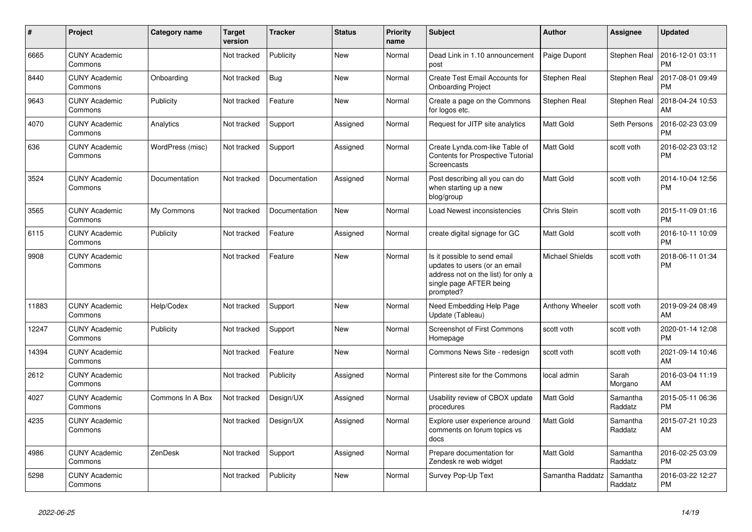| #     | <b>Project</b>                  | Category name    | <b>Target</b><br>version | Tracker       | <b>Status</b> | <b>Priority</b><br>name | <b>Subject</b>                                                                                                                               | <b>Author</b>          | Assignee            | <b>Updated</b>                |
|-------|---------------------------------|------------------|--------------------------|---------------|---------------|-------------------------|----------------------------------------------------------------------------------------------------------------------------------------------|------------------------|---------------------|-------------------------------|
| 6665  | <b>CUNY Academic</b><br>Commons |                  | Not tracked              | Publicity     | <b>New</b>    | Normal                  | Dead Link in 1.10 announcement<br>post                                                                                                       | Paige Dupont           | <b>Stephen Real</b> | 2016-12-01 03:11<br><b>PM</b> |
| 8440  | <b>CUNY Academic</b><br>Commons | Onboarding       | Not tracked              | Bug           | <b>New</b>    | Normal                  | Create Test Email Accounts for<br><b>Onboarding Project</b>                                                                                  | Stephen Real           | <b>Stephen Real</b> | 2017-08-01 09:49<br><b>PM</b> |
| 9643  | <b>CUNY Academic</b><br>Commons | <b>Publicity</b> | Not tracked              | Feature       | New           | Normal                  | Create a page on the Commons<br>for logos etc.                                                                                               | Stephen Real           | <b>Stephen Real</b> | 2018-04-24 10:53<br>AM        |
| 4070  | <b>CUNY Academic</b><br>Commons | Analytics        | Not tracked              | Support       | Assigned      | Normal                  | Request for JITP site analytics                                                                                                              | Matt Gold              | Seth Persons        | 2016-02-23 03:09<br><b>PM</b> |
| 636   | <b>CUNY Academic</b><br>Commons | WordPress (misc) | Not tracked              | Support       | Assigned      | Normal                  | Create Lynda.com-like Table of<br>Contents for Prospective Tutorial<br><b>Screencasts</b>                                                    | Matt Gold              | scott voth          | 2016-02-23 03:12<br><b>PM</b> |
| 3524  | <b>CUNY Academic</b><br>Commons | Documentation    | Not tracked              | Documentation | Assigned      | Normal                  | Post describing all you can do<br>when starting up a new<br>blog/group                                                                       | <b>Matt Gold</b>       | scott voth          | 2014-10-04 12:56<br><b>PM</b> |
| 3565  | <b>CUNY Academic</b><br>Commons | My Commons       | Not tracked              | Documentation | <b>New</b>    | Normal                  | Load Newest inconsistencies                                                                                                                  | <b>Chris Stein</b>     | scott voth          | 2015-11-09 01:16<br><b>PM</b> |
| 6115  | <b>CUNY Academic</b><br>Commons | Publicity        | Not tracked              | Feature       | Assigned      | Normal                  | create digital signage for GC                                                                                                                | Matt Gold              | scott voth          | 2016-10-11 10:09<br><b>PM</b> |
| 9908  | <b>CUNY Academic</b><br>Commons |                  | Not tracked              | Feature       | <b>New</b>    | Normal                  | Is it possible to send email<br>updates to users (or an email<br>address not on the list) for only a<br>single page AFTER being<br>prompted? | <b>Michael Shields</b> | scott voth          | 2018-06-11 01:34<br><b>PM</b> |
| 11883 | <b>CUNY Academic</b><br>Commons | Help/Codex       | Not tracked              | Support       | <b>New</b>    | Normal                  | Need Embedding Help Page<br>Update (Tableau)                                                                                                 | Anthony Wheeler        | scott voth          | 2019-09-24 08:49<br>AM        |
| 12247 | <b>CUNY Academic</b><br>Commons | Publicity        | Not tracked              | Support       | <b>New</b>    | Normal                  | <b>Screenshot of First Commons</b><br>Homepage                                                                                               | scott voth             | scott voth          | 2020-01-14 12:08<br><b>PM</b> |
| 14394 | <b>CUNY Academic</b><br>Commons |                  | Not tracked              | Feature       | <b>New</b>    | Normal                  | Commons News Site - redesign                                                                                                                 | scott voth             | scott voth          | 2021-09-14 10:46<br>AM        |
| 2612  | <b>CUNY Academic</b><br>Commons |                  | Not tracked              | Publicity     | Assigned      | Normal                  | Pinterest site for the Commons                                                                                                               | local admin            | Sarah<br>Morgano    | 2016-03-04 11:19<br>AM        |
| 4027  | <b>CUNY Academic</b><br>Commons | Commons In A Box | Not tracked              | Design/UX     | Assigned      | Normal                  | Usability review of CBOX update<br>procedures                                                                                                | Matt Gold              | Samantha<br>Raddatz | 2015-05-11 06:36<br><b>PM</b> |
| 4235  | <b>CUNY Academic</b><br>Commons |                  | Not tracked              | Design/UX     | Assigned      | Normal                  | Explore user experience around<br>comments on forum topics vs<br>docs                                                                        | Matt Gold              | Samantha<br>Raddatz | 2015-07-21 10:23<br>AM        |
| 4986  | <b>CUNY Academic</b><br>Commons | ZenDesk          | Not tracked              | Support       | Assigned      | Normal                  | Prepare documentation for<br>Zendesk re web widget                                                                                           | Matt Gold              | Samantha<br>Raddatz | 2016-02-25 03:09<br><b>PM</b> |
| 5298  | <b>CUNY Academic</b><br>Commons |                  | Not tracked              | Publicity     | <b>New</b>    | Normal                  | Survey Pop-Up Text                                                                                                                           | Samantha Raddatz       | Samantha<br>Raddatz | 2016-03-22 12:27<br><b>PM</b> |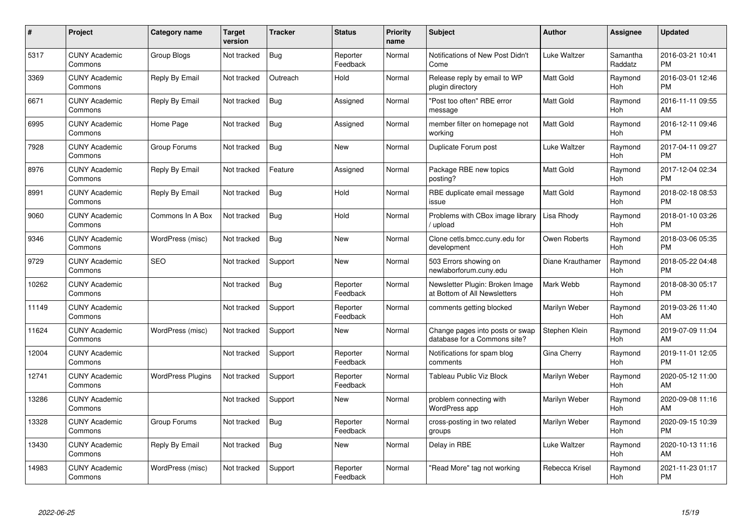| $\#$  | Project                         | <b>Category name</b>     | <b>Target</b><br>version | <b>Tracker</b> | <b>Status</b>        | <b>Priority</b><br>name | <b>Subject</b>                                                  | Author           | <b>Assignee</b>       | <b>Updated</b>                |
|-------|---------------------------------|--------------------------|--------------------------|----------------|----------------------|-------------------------|-----------------------------------------------------------------|------------------|-----------------------|-------------------------------|
| 5317  | <b>CUNY Academic</b><br>Commons | <b>Group Blogs</b>       | Not tracked              | <b>Bug</b>     | Reporter<br>Feedback | Normal                  | Notifications of New Post Didn't<br>Come                        | Luke Waltzer     | Samantha<br>Raddatz   | 2016-03-21 10:41<br><b>PM</b> |
| 3369  | <b>CUNY Academic</b><br>Commons | Reply By Email           | Not tracked              | Outreach       | Hold                 | Normal                  | Release reply by email to WP<br>plugin directory                | <b>Matt Gold</b> | Raymond<br><b>Hoh</b> | 2016-03-01 12:46<br><b>PM</b> |
| 6671  | <b>CUNY Academic</b><br>Commons | Reply By Email           | Not tracked              | Bug            | Assigned             | Normal                  | "Post too often" RBE error<br>message                           | <b>Matt Gold</b> | Raymond<br><b>Hoh</b> | 2016-11-11 09:55<br>AM        |
| 6995  | <b>CUNY Academic</b><br>Commons | Home Page                | Not tracked              | Bug            | Assigned             | Normal                  | member filter on homepage not<br>working                        | <b>Matt Gold</b> | Raymond<br>Hoh        | 2016-12-11 09:46<br><b>PM</b> |
| 7928  | <b>CUNY Academic</b><br>Commons | Group Forums             | Not tracked              | Bug            | <b>New</b>           | Normal                  | Duplicate Forum post                                            | Luke Waltzer     | Raymond<br>Hoh        | 2017-04-11 09:27<br><b>PM</b> |
| 8976  | <b>CUNY Academic</b><br>Commons | Reply By Email           | Not tracked              | Feature        | Assigned             | Normal                  | Package RBE new topics<br>posting?                              | <b>Matt Gold</b> | Raymond<br>Hoh        | 2017-12-04 02:34<br><b>PM</b> |
| 8991  | <b>CUNY Academic</b><br>Commons | Reply By Email           | Not tracked              | <b>Bug</b>     | Hold                 | Normal                  | RBE duplicate email message<br>issue                            | Matt Gold        | Raymond<br>Hoh        | 2018-02-18 08:53<br><b>PM</b> |
| 9060  | <b>CUNY Academic</b><br>Commons | Commons In A Box         | Not tracked              | Bug            | Hold                 | Normal                  | Problems with CBox image library<br>/ upload                    | Lisa Rhody       | Raymond<br>Hoh        | 2018-01-10 03:26<br><b>PM</b> |
| 9346  | <b>CUNY Academic</b><br>Commons | WordPress (misc)         | Not tracked              | Bug            | New                  | Normal                  | Clone cetls.bmcc.cuny.edu for<br>development                    | Owen Roberts     | Raymond<br><b>Hoh</b> | 2018-03-06 05:35<br><b>PM</b> |
| 9729  | <b>CUNY Academic</b><br>Commons | <b>SEO</b>               | Not tracked              | Support        | New                  | Normal                  | 503 Errors showing on<br>newlaborforum.cuny.edu                 | Diane Krauthamer | Raymond<br>Hoh        | 2018-05-22 04:48<br><b>PM</b> |
| 10262 | <b>CUNY Academic</b><br>Commons |                          | Not tracked              | <b>Bug</b>     | Reporter<br>Feedback | Normal                  | Newsletter Plugin: Broken Image<br>at Bottom of All Newsletters | Mark Webb        | Raymond<br>Hoh        | 2018-08-30 05:17<br><b>PM</b> |
| 11149 | <b>CUNY Academic</b><br>Commons |                          | Not tracked              | Support        | Reporter<br>Feedback | Normal                  | comments getting blocked                                        | Marilyn Weber    | Raymond<br>Hoh        | 2019-03-26 11:40<br>AM        |
| 11624 | <b>CUNY Academic</b><br>Commons | WordPress (misc)         | Not tracked              | Support        | New                  | Normal                  | Change pages into posts or swap<br>database for a Commons site? | Stephen Klein    | Raymond<br>Hoh        | 2019-07-09 11:04<br>AM        |
| 12004 | <b>CUNY Academic</b><br>Commons |                          | Not tracked              | Support        | Reporter<br>Feedback | Normal                  | Notifications for spam blog<br>comments                         | Gina Cherry      | Raymond<br>Hoh        | 2019-11-01 12:05<br><b>PM</b> |
| 12741 | <b>CUNY Academic</b><br>Commons | <b>WordPress Plugins</b> | Not tracked              | Support        | Reporter<br>Feedback | Normal                  | Tableau Public Viz Block                                        | Marilyn Weber    | Raymond<br>Hoh        | 2020-05-12 11:00<br>AM        |
| 13286 | <b>CUNY Academic</b><br>Commons |                          | Not tracked              | Support        | New                  | Normal                  | problem connecting with<br>WordPress app                        | Marilyn Weber    | Raymond<br><b>Hoh</b> | 2020-09-08 11:16<br>AM        |
| 13328 | <b>CUNY Academic</b><br>Commons | Group Forums             | Not tracked              | Bug            | Reporter<br>Feedback | Normal                  | cross-posting in two related<br>groups                          | Marilyn Weber    | Raymond<br>Hoh        | 2020-09-15 10:39<br><b>PM</b> |
| 13430 | <b>CUNY Academic</b><br>Commons | Reply By Email           | Not tracked              | <b>Bug</b>     | <b>New</b>           | Normal                  | Delay in RBE                                                    | Luke Waltzer     | Raymond<br>Hoh        | 2020-10-13 11:16<br>AM        |
| 14983 | CUNY Academic<br>Commons        | WordPress (misc)         | Not tracked              | Support        | Reporter<br>Feedback | Normal                  | 'Read More" tag not working                                     | Rebecca Krisel   | Raymond<br>Hoh        | 2021-11-23 01:17<br><b>PM</b> |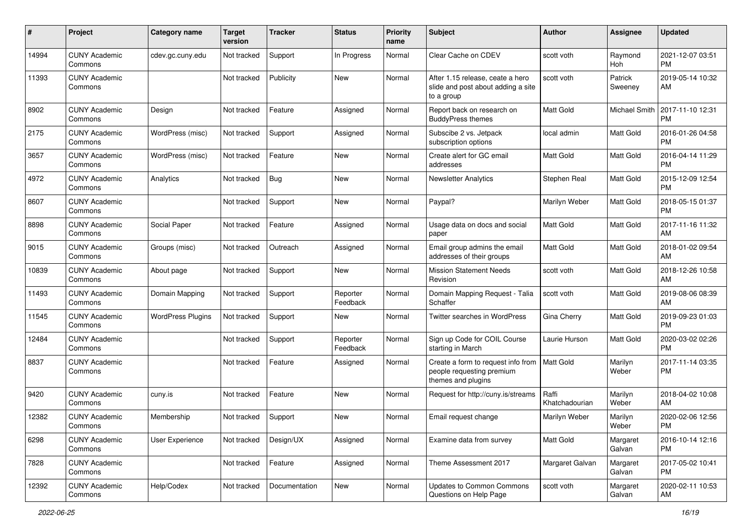| #     | Project                         | <b>Category name</b>     | <b>Target</b><br>version | <b>Tracker</b> | <b>Status</b>        | <b>Priority</b><br>name | <b>Subject</b>                                                                        | Author                  | Assignee           | <b>Updated</b>                |
|-------|---------------------------------|--------------------------|--------------------------|----------------|----------------------|-------------------------|---------------------------------------------------------------------------------------|-------------------------|--------------------|-------------------------------|
| 14994 | <b>CUNY Academic</b><br>Commons | cdev.gc.cuny.edu         | Not tracked              | Support        | In Progress          | Normal                  | Clear Cache on CDEV                                                                   | scott voth              | Raymond<br>Hoh     | 2021-12-07 03:51<br><b>PM</b> |
| 11393 | <b>CUNY Academic</b><br>Commons |                          | Not tracked              | Publicity      | <b>New</b>           | Normal                  | After 1.15 release, ceate a hero<br>slide and post about adding a site<br>to a group  | scott voth              | Patrick<br>Sweeney | 2019-05-14 10:32<br>AM        |
| 8902  | <b>CUNY Academic</b><br>Commons | Design                   | Not tracked              | Feature        | Assigned             | Normal                  | Report back on research on<br><b>BuddyPress themes</b>                                | Matt Gold               | Michael Smith      | 2017-11-10 12:31<br>PM        |
| 2175  | <b>CUNY Academic</b><br>Commons | WordPress (misc)         | Not tracked              | Support        | Assigned             | Normal                  | Subscibe 2 vs. Jetpack<br>subscription options                                        | local admin             | <b>Matt Gold</b>   | 2016-01-26 04:58<br><b>PM</b> |
| 3657  | <b>CUNY Academic</b><br>Commons | WordPress (misc)         | Not tracked              | Feature        | <b>New</b>           | Normal                  | Create alert for GC email<br>addresses                                                | Matt Gold               | <b>Matt Gold</b>   | 2016-04-14 11:29<br><b>PM</b> |
| 4972  | <b>CUNY Academic</b><br>Commons | Analytics                | Not tracked              | Bug            | <b>New</b>           | Normal                  | <b>Newsletter Analytics</b>                                                           | Stephen Real            | <b>Matt Gold</b>   | 2015-12-09 12:54<br><b>PM</b> |
| 8607  | <b>CUNY Academic</b><br>Commons |                          | Not tracked              | Support        | New                  | Normal                  | Paypal?                                                                               | Marilyn Weber           | <b>Matt Gold</b>   | 2018-05-15 01:37<br><b>PM</b> |
| 8898  | <b>CUNY Academic</b><br>Commons | Social Paper             | Not tracked              | Feature        | Assigned             | Normal                  | Usage data on docs and social<br>paper                                                | Matt Gold               | <b>Matt Gold</b>   | 2017-11-16 11:32<br>AM        |
| 9015  | <b>CUNY Academic</b><br>Commons | Groups (misc)            | Not tracked              | Outreach       | Assigned             | Normal                  | Email group admins the email<br>addresses of their groups                             | <b>Matt Gold</b>        | Matt Gold          | 2018-01-02 09:54<br>AM        |
| 10839 | <b>CUNY Academic</b><br>Commons | About page               | Not tracked              | Support        | New                  | Normal                  | <b>Mission Statement Needs</b><br>Revision                                            | scott voth              | <b>Matt Gold</b>   | 2018-12-26 10:58<br>AM        |
| 11493 | <b>CUNY Academic</b><br>Commons | Domain Mapping           | Not tracked              | Support        | Reporter<br>Feedback | Normal                  | Domain Mapping Request - Talia<br>Schaffer                                            | scott voth              | Matt Gold          | 2019-08-06 08:39<br>AM        |
| 11545 | <b>CUNY Academic</b><br>Commons | <b>WordPress Plugins</b> | Not tracked              | Support        | <b>New</b>           | Normal                  | <b>Twitter searches in WordPress</b>                                                  | Gina Cherry             | Matt Gold          | 2019-09-23 01:03<br><b>PM</b> |
| 12484 | <b>CUNY Academic</b><br>Commons |                          | Not tracked              | Support        | Reporter<br>Feedback | Normal                  | Sign up Code for COIL Course<br>starting in March                                     | Laurie Hurson           | Matt Gold          | 2020-03-02 02:26<br><b>PM</b> |
| 8837  | <b>CUNY Academic</b><br>Commons |                          | Not tracked              | Feature        | Assigned             | Normal                  | Create a form to request info from<br>people requesting premium<br>themes and plugins | <b>Matt Gold</b>        | Marilyn<br>Weber   | 2017-11-14 03:35<br><b>PM</b> |
| 9420  | <b>CUNY Academic</b><br>Commons | cuny.is                  | Not tracked              | Feature        | <b>New</b>           | Normal                  | Request for http://cuny.is/streams                                                    | Raffi<br>Khatchadourian | Marilyn<br>Weber   | 2018-04-02 10:08<br>AM        |
| 12382 | <b>CUNY Academic</b><br>Commons | Membership               | Not tracked              | Support        | <b>New</b>           | Normal                  | Email request change                                                                  | Marilyn Weber           | Marilyn<br>Weber   | 2020-02-06 12:56<br>PM        |
| 6298  | <b>CUNY Academic</b><br>Commons | User Experience          | Not tracked              | Design/UX      | Assigned             | Normal                  | Examine data from survey                                                              | Matt Gold               | Margaret<br>Galvan | 2016-10-14 12:16<br><b>PM</b> |
| 7828  | <b>CUNY Academic</b><br>Commons |                          | Not tracked              | Feature        | Assigned             | Normal                  | Theme Assessment 2017                                                                 | Margaret Galvan         | Margaret<br>Galvan | 2017-05-02 10:41<br><b>PM</b> |
| 12392 | <b>CUNY Academic</b><br>Commons | Help/Codex               | Not tracked              | Documentation  | New                  | Normal                  | <b>Updates to Common Commons</b><br>Questions on Help Page                            | scott voth              | Margaret<br>Galvan | 2020-02-11 10:53<br>AM        |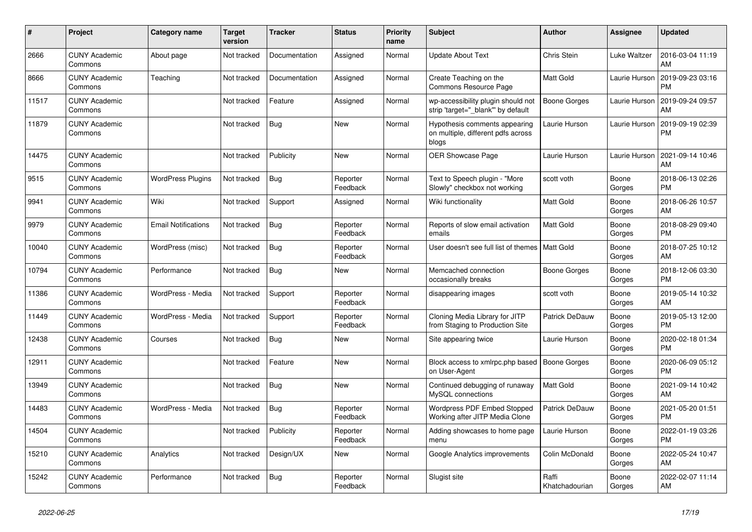| #     | <b>Project</b>                  | <b>Category name</b>       | Target<br>version | Tracker       | <b>Status</b>        | <b>Priority</b><br>name | <b>Subject</b>                                                               | <b>Author</b>           | <b>Assignee</b> | <b>Updated</b>                |
|-------|---------------------------------|----------------------------|-------------------|---------------|----------------------|-------------------------|------------------------------------------------------------------------------|-------------------------|-----------------|-------------------------------|
| 2666  | <b>CUNY Academic</b><br>Commons | About page                 | Not tracked       | Documentation | Assigned             | Normal                  | <b>Update About Text</b>                                                     | <b>Chris Stein</b>      | Luke Waltzer    | 2016-03-04 11:19<br>AM        |
| 8666  | <b>CUNY Academic</b><br>Commons | Teaching                   | Not tracked       | Documentation | Assigned             | Normal                  | Create Teaching on the<br><b>Commons Resource Page</b>                       | <b>Matt Gold</b>        | Laurie Hurson   | 2019-09-23 03:16<br><b>PM</b> |
| 11517 | <b>CUNY Academic</b><br>Commons |                            | Not tracked       | Feature       | Assigned             | Normal                  | wp-accessibility plugin should not<br>strip 'target="_blank"' by default     | <b>Boone Gorges</b>     | Laurie Hurson   | 2019-09-24 09:57<br>AM        |
| 11879 | <b>CUNY Academic</b><br>Commons |                            | Not tracked       | Bug           | <b>New</b>           | Normal                  | Hypothesis comments appearing<br>on multiple, different pdfs across<br>blogs | Laurie Hurson           | Laurie Hurson   | 2019-09-19 02:39<br><b>PM</b> |
| 14475 | <b>CUNY Academic</b><br>Commons |                            | Not tracked       | Publicity     | <b>New</b>           | Normal                  | <b>OER Showcase Page</b>                                                     | Laurie Hurson           | Laurie Hurson   | 2021-09-14 10:46<br>AM        |
| 9515  | <b>CUNY Academic</b><br>Commons | <b>WordPress Plugins</b>   | Not tracked       | Bug           | Reporter<br>Feedback | Normal                  | Text to Speech plugin - "More<br>Slowly" checkbox not working                | scott voth              | Boone<br>Gorges | 2018-06-13 02:26<br><b>PM</b> |
| 9941  | <b>CUNY Academic</b><br>Commons | Wiki                       | Not tracked       | Support       | Assigned             | Normal                  | Wiki functionality                                                           | <b>Matt Gold</b>        | Boone<br>Gorges | 2018-06-26 10:57<br>AM        |
| 9979  | <b>CUNY Academic</b><br>Commons | <b>Email Notifications</b> | Not tracked       | <b>Bug</b>    | Reporter<br>Feedback | Normal                  | Reports of slow email activation<br>emails                                   | <b>Matt Gold</b>        | Boone<br>Gorges | 2018-08-29 09:40<br><b>PM</b> |
| 10040 | <b>CUNY Academic</b><br>Commons | WordPress (misc)           | Not tracked       | Bug           | Reporter<br>Feedback | Normal                  | User doesn't see full list of themes   Matt Gold                             |                         | Boone<br>Gorges | 2018-07-25 10:12<br>AM        |
| 10794 | <b>CUNY Academic</b><br>Commons | Performance                | Not tracked       | Bug           | New                  | Normal                  | Memcached connection<br>occasionally breaks                                  | Boone Gorges            | Boone<br>Gorges | 2018-12-06 03:30<br><b>PM</b> |
| 11386 | <b>CUNY Academic</b><br>Commons | WordPress - Media          | Not tracked       | Support       | Reporter<br>Feedback | Normal                  | disappearing images                                                          | scott voth              | Boone<br>Gorges | 2019-05-14 10:32<br>AM        |
| 11449 | <b>CUNY Academic</b><br>Commons | WordPress - Media          | Not tracked       | Support       | Reporter<br>Feedback | Normal                  | Cloning Media Library for JITP<br>from Staging to Production Site            | Patrick DeDauw          | Boone<br>Gorges | 2019-05-13 12:00<br><b>PM</b> |
| 12438 | <b>CUNY Academic</b><br>Commons | Courses                    | Not tracked       | <b>Bug</b>    | <b>New</b>           | Normal                  | Site appearing twice                                                         | Laurie Hurson           | Boone<br>Gorges | 2020-02-18 01:34<br><b>PM</b> |
| 12911 | <b>CUNY Academic</b><br>Commons |                            | Not tracked       | Feature       | <b>New</b>           | Normal                  | Block access to xmlrpc.php based<br>on User-Agent                            | Boone Gorges            | Boone<br>Gorges | 2020-06-09 05:12<br><b>PM</b> |
| 13949 | <b>CUNY Academic</b><br>Commons |                            | Not tracked       | Bug           | New                  | Normal                  | Continued debugging of runaway<br>MySQL connections                          | Matt Gold               | Boone<br>Gorges | 2021-09-14 10:42<br>AM        |
| 14483 | <b>CUNY Academic</b><br>Commons | WordPress - Media          | Not tracked       | <b>Bug</b>    | Reporter<br>Feedback | Normal                  | Wordpress PDF Embed Stopped<br>Working after JITP Media Clone                | Patrick DeDauw          | Boone<br>Gorges | 2021-05-20 01:51<br><b>PM</b> |
| 14504 | <b>CUNY Academic</b><br>Commons |                            | Not tracked       | Publicity     | Reporter<br>Feedback | Normal                  | Adding showcases to home page<br>menu                                        | Laurie Hurson           | Boone<br>Gorges | 2022-01-19 03:26<br><b>PM</b> |
| 15210 | <b>CUNY Academic</b><br>Commons | Analytics                  | Not tracked       | Design/UX     | <b>New</b>           | Normal                  | Google Analytics improvements                                                | Colin McDonald          | Boone<br>Gorges | 2022-05-24 10:47<br>AM        |
| 15242 | <b>CUNY Academic</b><br>Commons | Performance                | Not tracked       | Bug           | Reporter<br>Feedback | Normal                  | Slugist site                                                                 | Raffi<br>Khatchadourian | Boone<br>Gorges | 2022-02-07 11:14<br>AM        |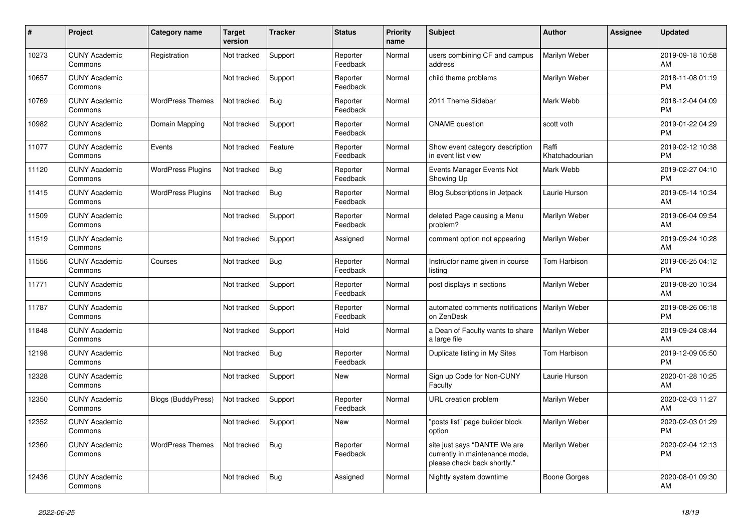| #     | Project                         | <b>Category name</b>      | Target<br>version | <b>Tracker</b> | <b>Status</b>        | <b>Priority</b><br>name | <b>Subject</b>                                                                                | <b>Author</b>           | <b>Assignee</b> | <b>Updated</b>                |
|-------|---------------------------------|---------------------------|-------------------|----------------|----------------------|-------------------------|-----------------------------------------------------------------------------------------------|-------------------------|-----------------|-------------------------------|
| 10273 | <b>CUNY Academic</b><br>Commons | Registration              | Not tracked       | Support        | Reporter<br>Feedback | Normal                  | users combining CF and campus<br>address                                                      | Marilyn Weber           |                 | 2019-09-18 10:58<br>AM        |
| 10657 | <b>CUNY Academic</b><br>Commons |                           | Not tracked       | Support        | Reporter<br>Feedback | Normal                  | child theme problems                                                                          | Marilyn Weber           |                 | 2018-11-08 01:19<br><b>PM</b> |
| 10769 | <b>CUNY Academic</b><br>Commons | <b>WordPress Themes</b>   | Not tracked       | <b>Bug</b>     | Reporter<br>Feedback | Normal                  | 2011 Theme Sidebar                                                                            | Mark Webb               |                 | 2018-12-04 04:09<br><b>PM</b> |
| 10982 | <b>CUNY Academic</b><br>Commons | Domain Mapping            | Not tracked       | Support        | Reporter<br>Feedback | Normal                  | <b>CNAME</b> question                                                                         | scott voth              |                 | 2019-01-22 04:29<br><b>PM</b> |
| 11077 | <b>CUNY Academic</b><br>Commons | Events                    | Not tracked       | Feature        | Reporter<br>Feedback | Normal                  | Show event category description<br>in event list view                                         | Raffi<br>Khatchadourian |                 | 2019-02-12 10:38<br><b>PM</b> |
| 11120 | <b>CUNY Academic</b><br>Commons | <b>WordPress Plugins</b>  | Not tracked       | <b>Bug</b>     | Reporter<br>Feedback | Normal                  | Events Manager Events Not<br>Showing Up                                                       | Mark Webb               |                 | 2019-02-27 04:10<br><b>PM</b> |
| 11415 | <b>CUNY Academic</b><br>Commons | <b>WordPress Plugins</b>  | Not tracked       | <b>Bug</b>     | Reporter<br>Feedback | Normal                  | <b>Blog Subscriptions in Jetpack</b>                                                          | Laurie Hurson           |                 | 2019-05-14 10:34<br>AM        |
| 11509 | <b>CUNY Academic</b><br>Commons |                           | Not tracked       | Support        | Reporter<br>Feedback | Normal                  | deleted Page causing a Menu<br>problem?                                                       | Marilyn Weber           |                 | 2019-06-04 09:54<br>AM        |
| 11519 | <b>CUNY Academic</b><br>Commons |                           | Not tracked       | Support        | Assigned             | Normal                  | comment option not appearing                                                                  | Marilyn Weber           |                 | 2019-09-24 10:28<br>AM        |
| 11556 | <b>CUNY Academic</b><br>Commons | Courses                   | Not tracked       | <b>Bug</b>     | Reporter<br>Feedback | Normal                  | Instructor name given in course<br>listing                                                    | Tom Harbison            |                 | 2019-06-25 04:12<br><b>PM</b> |
| 11771 | <b>CUNY Academic</b><br>Commons |                           | Not tracked       | Support        | Reporter<br>Feedback | Normal                  | post displays in sections                                                                     | Marilyn Weber           |                 | 2019-08-20 10:34<br>AM        |
| 11787 | <b>CUNY Academic</b><br>Commons |                           | Not tracked       | Support        | Reporter<br>Feedback | Normal                  | automated comments notifications   Marilyn Weber<br>on ZenDesk                                |                         |                 | 2019-08-26 06:18<br><b>PM</b> |
| 11848 | <b>CUNY Academic</b><br>Commons |                           | Not tracked       | Support        | Hold                 | Normal                  | a Dean of Faculty wants to share<br>a large file                                              | Marilyn Weber           |                 | 2019-09-24 08:44<br>AM        |
| 12198 | <b>CUNY Academic</b><br>Commons |                           | Not tracked       | <b>Bug</b>     | Reporter<br>Feedback | Normal                  | Duplicate listing in My Sites                                                                 | Tom Harbison            |                 | 2019-12-09 05:50<br><b>PM</b> |
| 12328 | <b>CUNY Academic</b><br>Commons |                           | Not tracked       | Support        | <b>New</b>           | Normal                  | Sign up Code for Non-CUNY<br>Faculty                                                          | Laurie Hurson           |                 | 2020-01-28 10:25<br>AM        |
| 12350 | <b>CUNY Academic</b><br>Commons | <b>Blogs (BuddyPress)</b> | Not tracked       | Support        | Reporter<br>Feedback | Normal                  | <b>URL</b> creation problem                                                                   | Marilyn Weber           |                 | 2020-02-03 11:27<br>AM        |
| 12352 | <b>CUNY Academic</b><br>Commons |                           | Not tracked       | Support        | <b>New</b>           | Normal                  | "posts list" page builder block<br>option                                                     | Marilyn Weber           |                 | 2020-02-03 01:29<br><b>PM</b> |
| 12360 | <b>CUNY Academic</b><br>Commons | <b>WordPress Themes</b>   | Not tracked       | <b>Bug</b>     | Reporter<br>Feedback | Normal                  | site just says "DANTE We are<br>currently in maintenance mode,<br>please check back shortly." | Marilyn Weber           |                 | 2020-02-04 12:13<br><b>PM</b> |
| 12436 | <b>CUNY Academic</b><br>Commons |                           | Not tracked       | Bug            | Assigned             | Normal                  | Nightly system downtime                                                                       | Boone Gorges            |                 | 2020-08-01 09:30<br>AM        |